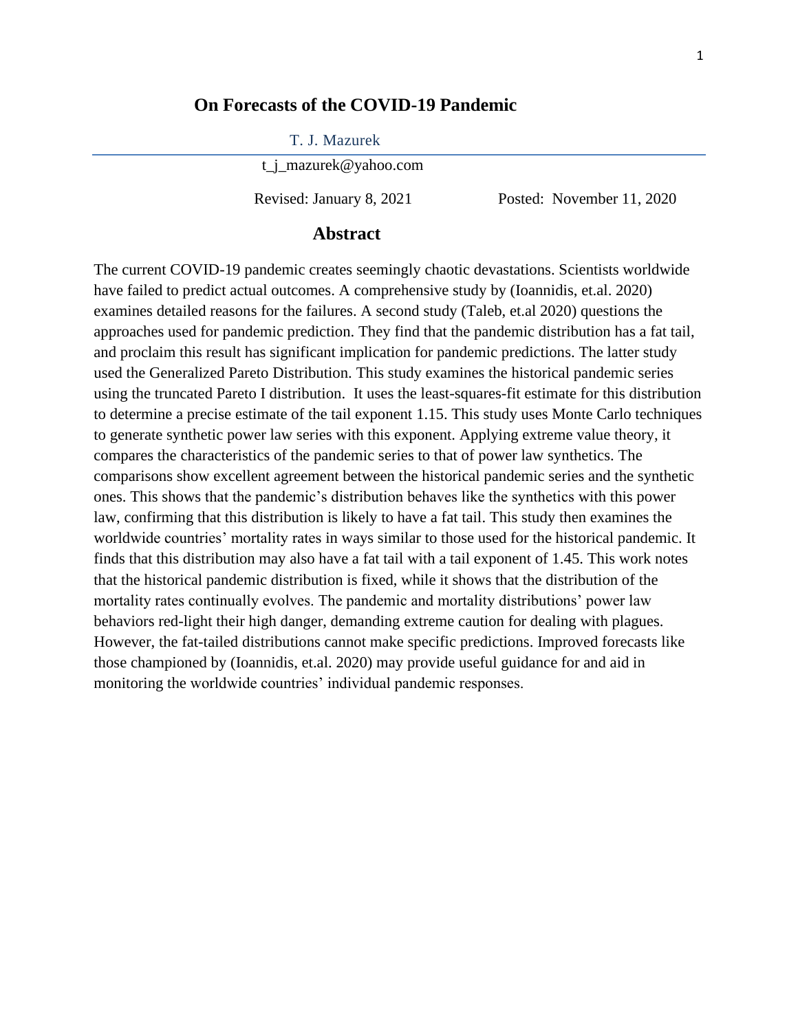### **On Forecasts of the COVID-19 Pandemic**

T. J. Mazurek

t\_j\_mazurek@yahoo.com

Revised: January 8, 2021 Posted: November 11, 2020

### **Abstract**

The current COVID-19 pandemic creates seemingly chaotic devastations. Scientists worldwide have failed to predict actual outcomes. A comprehensive study by (Ioannidis, et.al. 2020) examines detailed reasons for the failures. A second study (Taleb, et.al 2020) questions the approaches used for pandemic prediction. They find that the pandemic distribution has a fat tail, and proclaim this result has significant implication for pandemic predictions. The latter study used the Generalized Pareto Distribution. This study examines the historical pandemic series using the truncated Pareto I distribution. It uses the least-squares-fit estimate for this distribution to determine a precise estimate of the tail exponent 1.15. This study uses Monte Carlo techniques to generate synthetic power law series with this exponent. Applying extreme value theory, it compares the characteristics of the pandemic series to that of power law synthetics. The comparisons show excellent agreement between the historical pandemic series and the synthetic ones. This shows that the pandemic's distribution behaves like the synthetics with this power law, confirming that this distribution is likely to have a fat tail. This study then examines the worldwide countries' mortality rates in ways similar to those used for the historical pandemic. It finds that this distribution may also have a fat tail with a tail exponent of 1.45. This work notes that the historical pandemic distribution is fixed, while it shows that the distribution of the mortality rates continually evolves. The pandemic and mortality distributions' power law behaviors red-light their high danger, demanding extreme caution for dealing with plagues. However, the fat-tailed distributions cannot make specific predictions. Improved forecasts like those championed by (Ioannidis, et.al. 2020) may provide useful guidance for and aid in monitoring the worldwide countries' individual pandemic responses.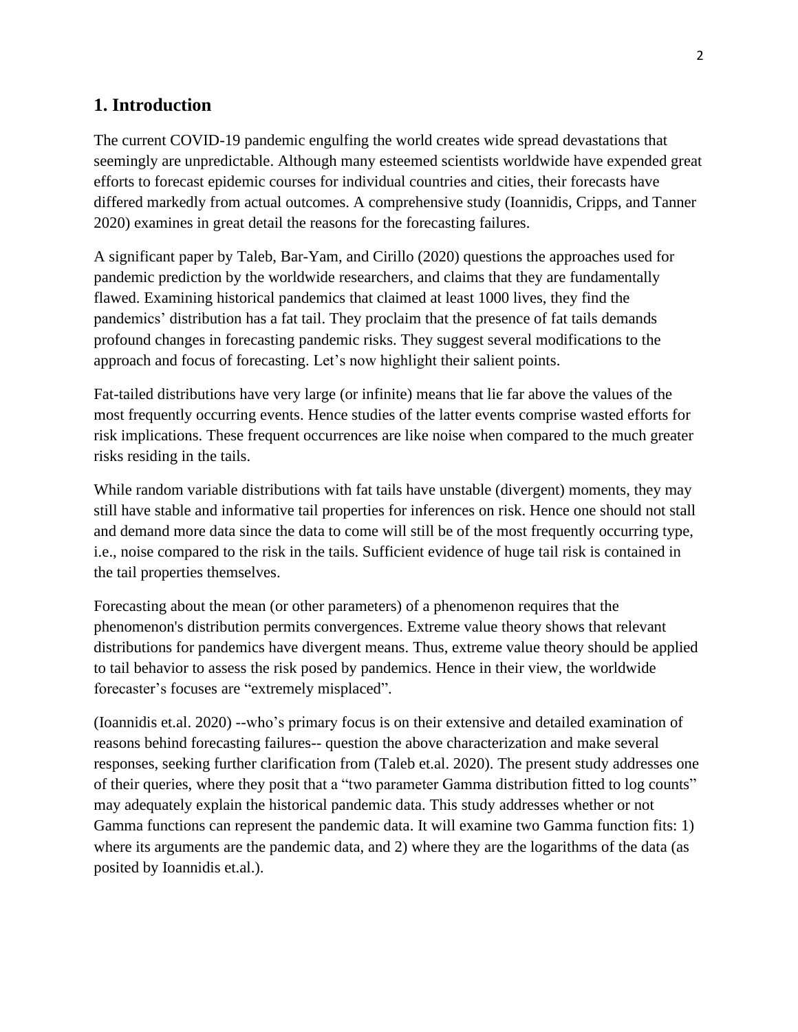# **1. Introduction**

The current COVID-19 pandemic engulfing the world creates wide spread devastations that seemingly are unpredictable. Although many esteemed scientists worldwide have expended great efforts to forecast epidemic courses for individual countries and cities, their forecasts have differed markedly from actual outcomes. A comprehensive study (Ioannidis, Cripps, and Tanner 2020) examines in great detail the reasons for the forecasting failures.

A significant paper by Taleb, Bar-Yam, and Cirillo (2020) questions the approaches used for pandemic prediction by the worldwide researchers, and claims that they are fundamentally flawed. Examining historical pandemics that claimed at least 1000 lives, they find the pandemics' distribution has a fat tail. They proclaim that the presence of fat tails demands profound changes in forecasting pandemic risks. They suggest several modifications to the approach and focus of forecasting. Let's now highlight their salient points.

Fat-tailed distributions have very large (or infinite) means that lie far above the values of the most frequently occurring events. Hence studies of the latter events comprise wasted efforts for risk implications. These frequent occurrences are like noise when compared to the much greater risks residing in the tails.

While random variable distributions with fat tails have unstable (divergent) moments, they may still have stable and informative tail properties for inferences on risk. Hence one should not stall and demand more data since the data to come will still be of the most frequently occurring type, i.e., noise compared to the risk in the tails. Sufficient evidence of huge tail risk is contained in the tail properties themselves.

Forecasting about the mean (or other parameters) of a phenomenon requires that the phenomenon's distribution permits convergences. Extreme value theory shows that relevant distributions for pandemics have divergent means. Thus, extreme value theory should be applied to tail behavior to assess the risk posed by pandemics. Hence in their view, the worldwide forecaster's focuses are "extremely misplaced".

(Ioannidis et.al. 2020) --who's primary focus is on their extensive and detailed examination of reasons behind forecasting failures-- question the above characterization and make several responses, seeking further clarification from (Taleb et.al. 2020). The present study addresses one of their queries, where they posit that a "two parameter Gamma distribution fitted to log counts" may adequately explain the historical pandemic data. This study addresses whether or not Gamma functions can represent the pandemic data. It will examine two Gamma function fits: 1) where its arguments are the pandemic data, and 2) where they are the logarithms of the data (as posited by Ioannidis et.al.).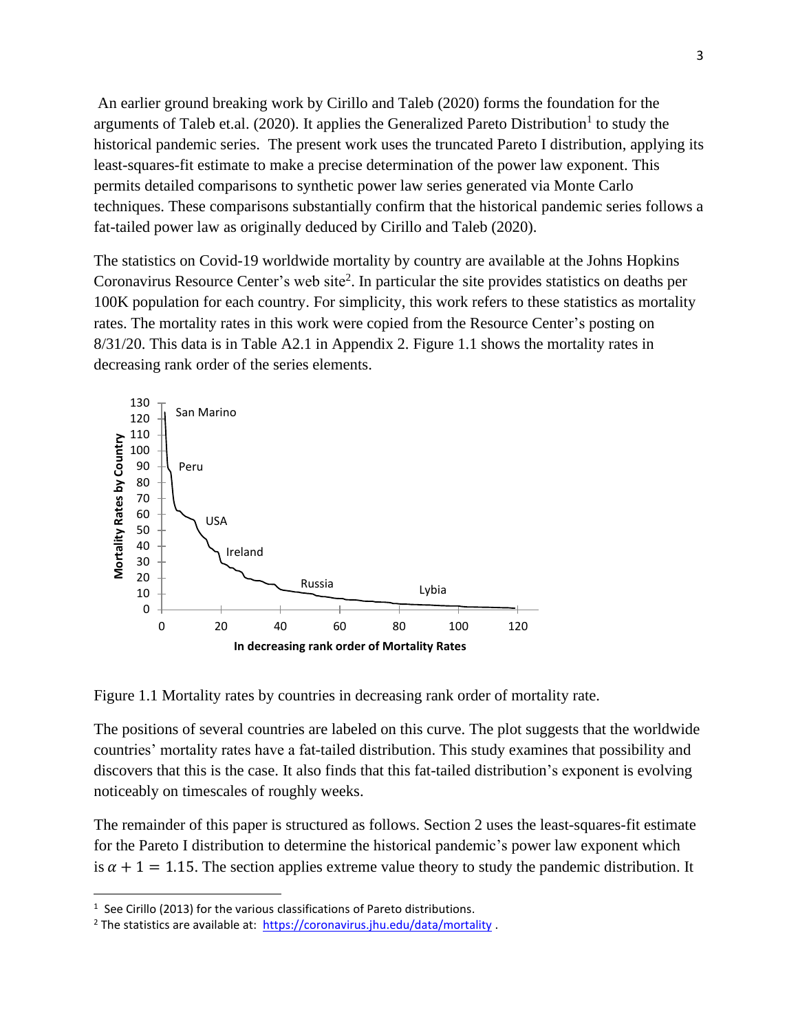An earlier ground breaking work by Cirillo and Taleb (2020) forms the foundation for the arguments of Taleb et.al. (2020). It applies the Generalized Pareto Distribution<sup>1</sup> to study the historical pandemic series. The present work uses the truncated Pareto I distribution, applying its least-squares-fit estimate to make a precise determination of the power law exponent. This permits detailed comparisons to synthetic power law series generated via Monte Carlo techniques. These comparisons substantially confirm that the historical pandemic series follows a fat-tailed power law as originally deduced by Cirillo and Taleb (2020).

The statistics on Covid-19 worldwide mortality by country are available at the Johns Hopkins Coronavirus Resource Center's web site<sup>2</sup>. In particular the site provides statistics on deaths per 100K population for each country. For simplicity, this work refers to these statistics as mortality rates. The mortality rates in this work were copied from the Resource Center's posting on 8/31/20. This data is in Table A2.1 in Appendix 2. Figure 1.1 shows the mortality rates in decreasing rank order of the series elements.



Figure 1.1 Mortality rates by countries in decreasing rank order of mortality rate.

The positions of several countries are labeled on this curve. The plot suggests that the worldwide countries' mortality rates have a fat-tailed distribution. This study examines that possibility and discovers that this is the case. It also finds that this fat-tailed distribution's exponent is evolving noticeably on timescales of roughly weeks.

The remainder of this paper is structured as follows. Section 2 uses the least-squares-fit estimate for the Pareto I distribution to determine the historical pandemic's power law exponent which is  $\alpha + 1 = 1.15$ . The section applies extreme value theory to study the pandemic distribution. It

<sup>&</sup>lt;sup>1</sup> See Cirillo (2013) for the various classifications of Pareto distributions.

<sup>&</sup>lt;sup>2</sup> The statistics are available at:  $\frac{https://coronavirus.jhu.edu/data/mortality}{https://coronavirus.jhu.edu/data/mortality}$ .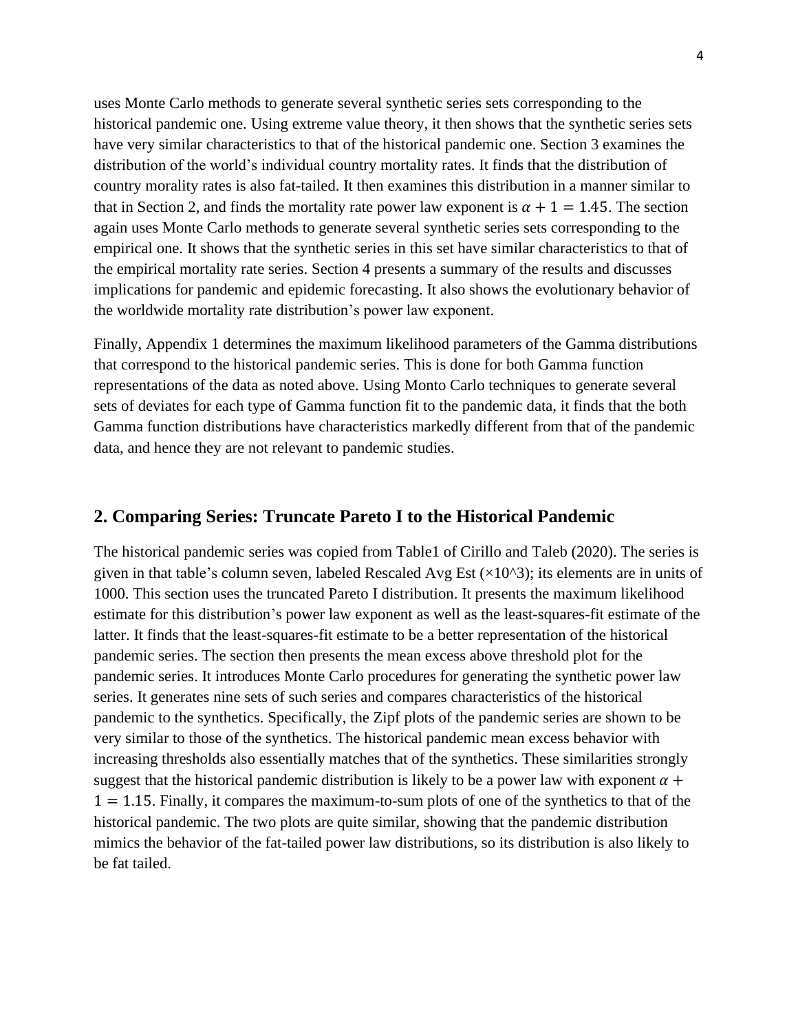uses Monte Carlo methods to generate several synthetic series sets corresponding to the historical pandemic one. Using extreme value theory, it then shows that the synthetic series sets have very similar characteristics to that of the historical pandemic one. Section 3 examines the distribution of the world's individual country mortality rates. It finds that the distribution of country morality rates is also fat-tailed. It then examines this distribution in a manner similar to that in Section 2, and finds the mortality rate power law exponent is  $\alpha + 1 = 1.45$ . The section again uses Monte Carlo methods to generate several synthetic series sets corresponding to the empirical one. It shows that the synthetic series in this set have similar characteristics to that of the empirical mortality rate series. Section 4 presents a summary of the results and discusses implications for pandemic and epidemic forecasting. It also shows the evolutionary behavior of the worldwide mortality rate distribution's power law exponent.

Finally, Appendix 1 determines the maximum likelihood parameters of the Gamma distributions that correspond to the historical pandemic series. This is done for both Gamma function representations of the data as noted above. Using Monto Carlo techniques to generate several sets of deviates for each type of Gamma function fit to the pandemic data, it finds that the both Gamma function distributions have characteristics markedly different from that of the pandemic data, and hence they are not relevant to pandemic studies.

### **2. Comparing Series: Truncate Pareto I to the Historical Pandemic**

The historical pandemic series was copied from Table1 of Cirillo and Taleb (2020). The series is given in that table's column seven, labeled Rescaled Avg Est  $(\times 10^{8})$ ; its elements are in units of 1000. This section uses the truncated Pareto I distribution. It presents the maximum likelihood estimate for this distribution's power law exponent as well as the least-squares-fit estimate of the latter. It finds that the least-squares-fit estimate to be a better representation of the historical pandemic series. The section then presents the mean excess above threshold plot for the pandemic series. It introduces Monte Carlo procedures for generating the synthetic power law series. It generates nine sets of such series and compares characteristics of the historical pandemic to the synthetics. Specifically, the Zipf plots of the pandemic series are shown to be very similar to those of the synthetics. The historical pandemic mean excess behavior with increasing thresholds also essentially matches that of the synthetics. These similarities strongly suggest that the historical pandemic distribution is likely to be a power law with exponent  $\alpha$  +  $1 = 1.15$ . Finally, it compares the maximum-to-sum plots of one of the synthetics to that of the historical pandemic. The two plots are quite similar, showing that the pandemic distribution mimics the behavior of the fat-tailed power law distributions, so its distribution is also likely to be fat tailed.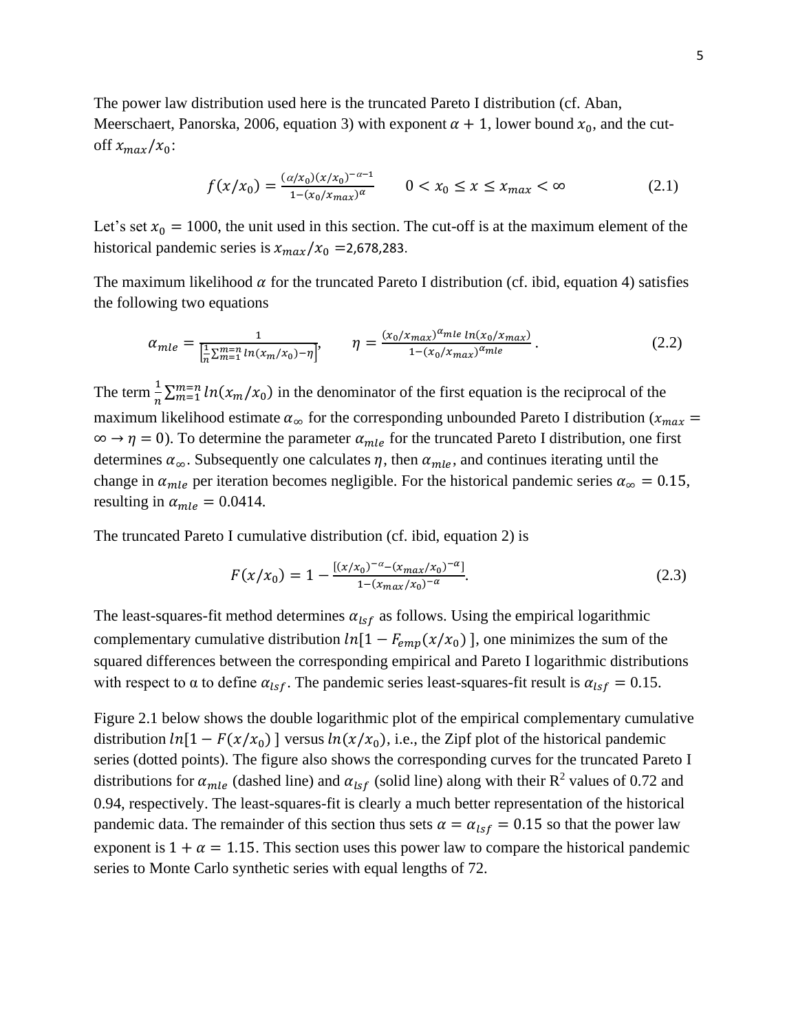The power law distribution used here is the truncated Pareto I distribution (cf. Aban, Meerschaert, Panorska, 2006, equation 3) with exponent  $\alpha + 1$ , lower bound  $x_0$ , and the cutoff  $x_{max}/x_0$ :

$$
f(x/x_0) = \frac{(\alpha/x_0)(x/x_0)^{-\alpha - 1}}{1 - (x_0/x_{max})^{\alpha}} \qquad 0 < x_0 \le x \le x_{max} < \infty \tag{2.1}
$$

Let's set  $x_0 = 1000$ , the unit used in this section. The cut-off is at the maximum element of the historical pandemic series is  $x_{max}/x_0 = 2.678283$ .

The maximum likelihood  $\alpha$  for the truncated Pareto I distribution (cf. ibid, equation 4) satisfies the following two equations

$$
\alpha_{mle} = \frac{1}{\left[\frac{1}{n}\sum_{m=1}^{m=n} \ln(x_m/x_0) - \eta\right]}, \qquad \eta = \frac{(x_0/x_{max})^{\alpha_{mle}} \ln(x_0/x_{max})}{1 - (x_0/x_{max})^{\alpha_{mle}}}.
$$
\n(2.2)

The term  $\frac{1}{n} \sum_{m=1}^{m=n} ln(x_m/x_0)$  in the denominator of the first equation is the reciprocal of the maximum likelihood estimate  $\alpha_{\infty}$  for the corresponding unbounded Pareto I distribution ( $x_{max}$  =  $\infty \to \eta = 0$ ). To determine the parameter  $\alpha_{mle}$  for the truncated Pareto I distribution, one first determines  $\alpha_{\infty}$ . Subsequently one calculates  $\eta$ , then  $\alpha_{mle}$ , and continues iterating until the change in  $\alpha_{mle}$  per iteration becomes negligible. For the historical pandemic series  $\alpha_{\infty} = 0.15$ , resulting in  $\alpha_{mle} = 0.0414$ .

The truncated Pareto I cumulative distribution (cf. ibid, equation 2) is

$$
F(x/x_0) = 1 - \frac{[(x/x_0)^{-\alpha} - (x_{max}/x_0)^{-\alpha}]}{1 - (x_{max}/x_0)^{-\alpha}}.
$$
\n(2.3)

The least-squares-fit method determines  $\alpha_{lsf}$  as follows. Using the empirical logarithmic complementary cumulative distribution  $ln[1 - F_{emp}(x/x_0)]$ , one minimizes the sum of the squared differences between the corresponding empirical and Pareto I logarithmic distributions with respect to  $\alpha$  to define  $\alpha_{lsf}$ . The pandemic series least-squares-fit result is  $\alpha_{lsf} = 0.15$ .

Figure 2.1 below shows the double logarithmic plot of the empirical complementary cumulative distribution  $ln[1 - F(x/x_0)]$  versus  $ln(x/x_0)$ , i.e., the Zipf plot of the historical pandemic series (dotted points). The figure also shows the corresponding curves for the truncated Pareto I distributions for  $\alpha_{mle}$  (dashed line) and  $\alpha_{lsf}$  (solid line) along with their R<sup>2</sup> values of 0.72 and 0.94, respectively. The least-squares-fit is clearly a much better representation of the historical pandemic data. The remainder of this section thus sets  $\alpha = \alpha_{lsf} = 0.15$  so that the power law exponent is  $1 + \alpha = 1.15$ . This section uses this power law to compare the historical pandemic series to Monte Carlo synthetic series with equal lengths of 72.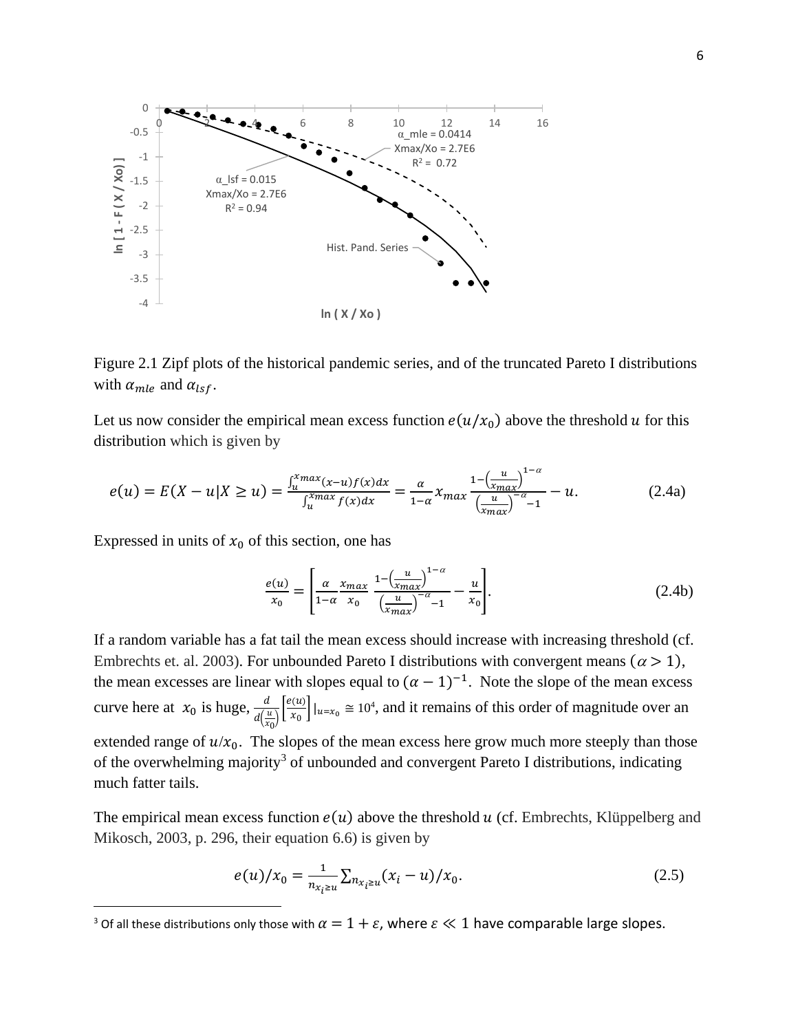

Figure 2.1 Zipf plots of the historical pandemic series, and of the truncated Pareto I distributions with  $\alpha_{mle}$  and  $\alpha_{lsf}$ .

Let us now consider the empirical mean excess function  $e(u/x_0)$  above the threshold u for this distribution which is given by

$$
e(u) = E(X - u|X \ge u) = \frac{\int_{u}^{x_{max}} (x - u)f(x)dx}{\int_{u}^{x_{max}} f(x)dx} = \frac{\alpha}{1 - \alpha} x_{max} \frac{1 - \left(\frac{u}{x_{max}}\right)^{1 - \alpha}}{\left(\frac{u}{x_{max}}\right)^{-\alpha} - 1} - u.
$$
 (2.4a)

Expressed in units of  $x_0$  of this section, one has

$$
\frac{e(u)}{x_0} = \left[ \frac{\alpha}{1 - \alpha} \frac{x_{max}}{x_0} \frac{1 - \left(\frac{u}{x_{max}}\right)^{1 - \alpha}}{\left(\frac{u}{x_{max}}\right)^{-\alpha} - 1} - \frac{u}{x_0} \right].
$$
\n(2.4b)

If a random variable has a fat tail the mean excess should increase with increasing threshold (cf. Embrechts et. al. 2003). For unbounded Pareto I distributions with convergent means ( $\alpha$  > 1), the mean excesses are linear with slopes equal to  $(\alpha - 1)^{-1}$ . Note the slope of the mean excess curve here at  $x_0$  is huge,  $\frac{d}{d}$  $\frac{d}{d\left(\frac{u}{x_0}\right)}\left[\frac{e(u)}{x_0}\right]$  $\left\lfloor \frac{u(u)}{x_0} \right\rfloor \big\rfloor_{u=x_0} \cong 10^4$ , and it remains of this order of magnitude over an extended range of  $u/x_0$ . The slopes of the mean excess here grow much more steeply than those of the overwhelming majority<sup>3</sup> of unbounded and convergent Pareto I distributions, indicating much fatter tails.

The empirical mean excess function  $e(u)$  above the threshold u (cf. Embrechts, Klüppelberg and Mikosch, 2003, p. 296, their equation 6.6) is given by

$$
e(u)/x_0 = \frac{1}{n_{x_i \ge u}} \sum_{n_{x_i \ge u}} (x_i - u)/x_0.
$$
\n(2.5)

<sup>&</sup>lt;sup>3</sup> Of all these distributions only those with  $\alpha = 1 + \varepsilon$ , where  $\varepsilon \ll 1$  have comparable large slopes.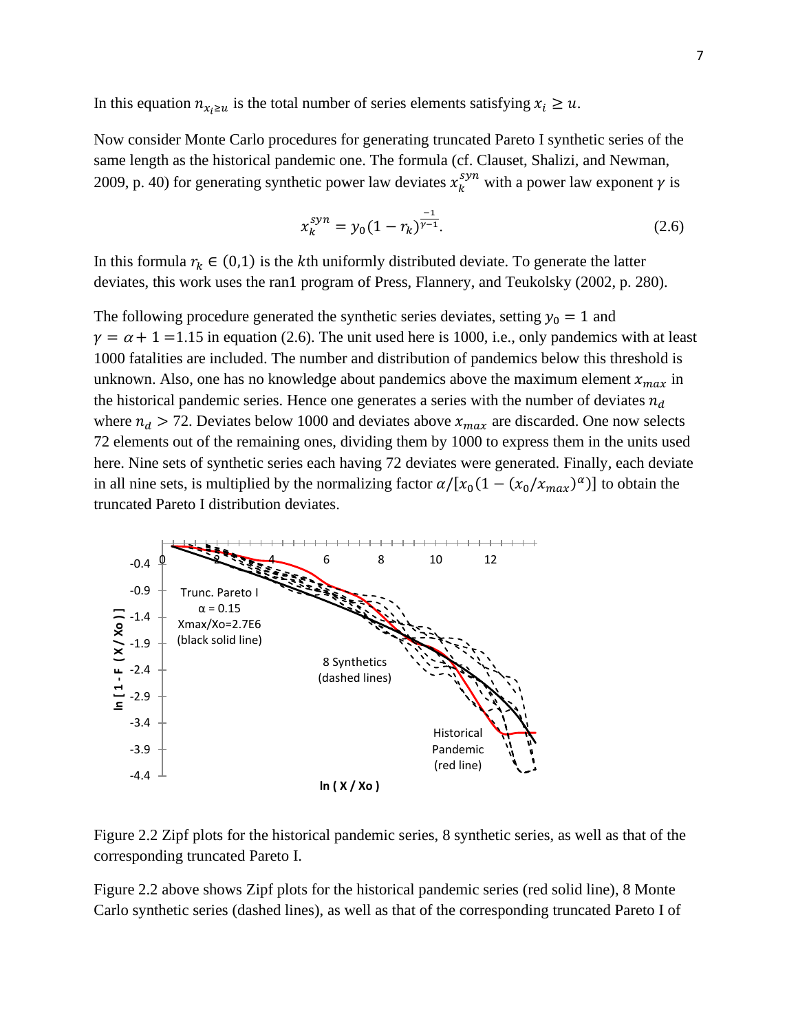In this equation  $n_{x_i \ge u}$  is the total number of series elements satisfying  $x_i \ge u$ .

Now consider Monte Carlo procedures for generating truncated Pareto I synthetic series of the same length as the historical pandemic one. The formula (cf. Clauset, Shalizi, and Newman, 2009, p. 40) for generating synthetic power law deviates  $x_k^{syn}$  with a power law exponent  $\gamma$  is

$$
x_k^{syn} = y_0 (1 - r_k)^{\frac{-1}{\gamma - 1}}.
$$
\n(2.6)

In this formula  $r_k \in (0,1)$  is the kth uniformly distributed deviate. To generate the latter deviates, this work uses the ran1 program of Press, Flannery, and Teukolsky (2002, p. 280).

The following procedure generated the synthetic series deviates, setting  $y_0 = 1$  and  $\gamma = \alpha + 1 = 1.15$  in equation (2.6). The unit used here is 1000, i.e., only pandemics with at least 1000 fatalities are included. The number and distribution of pandemics below this threshold is unknown. Also, one has no knowledge about pandemics above the maximum element  $x_{max}$  in the historical pandemic series. Hence one generates a series with the number of deviates  $n_d$ where  $n_d > 72$ . Deviates below 1000 and deviates above  $x_{max}$  are discarded. One now selects 72 elements out of the remaining ones, dividing them by 1000 to express them in the units used here. Nine sets of synthetic series each having 72 deviates were generated. Finally, each deviate in all nine sets, is multiplied by the normalizing factor  $\alpha/[x_0(1-(x_0/x_{max})^{\alpha})]$  to obtain the truncated Pareto I distribution deviates.



Figure 2.2 Zipf plots for the historical pandemic series, 8 synthetic series, as well as that of the corresponding truncated Pareto I.

Figure 2.2 above shows Zipf plots for the historical pandemic series (red solid line), 8 Monte Carlo synthetic series (dashed lines), as well as that of the corresponding truncated Pareto I of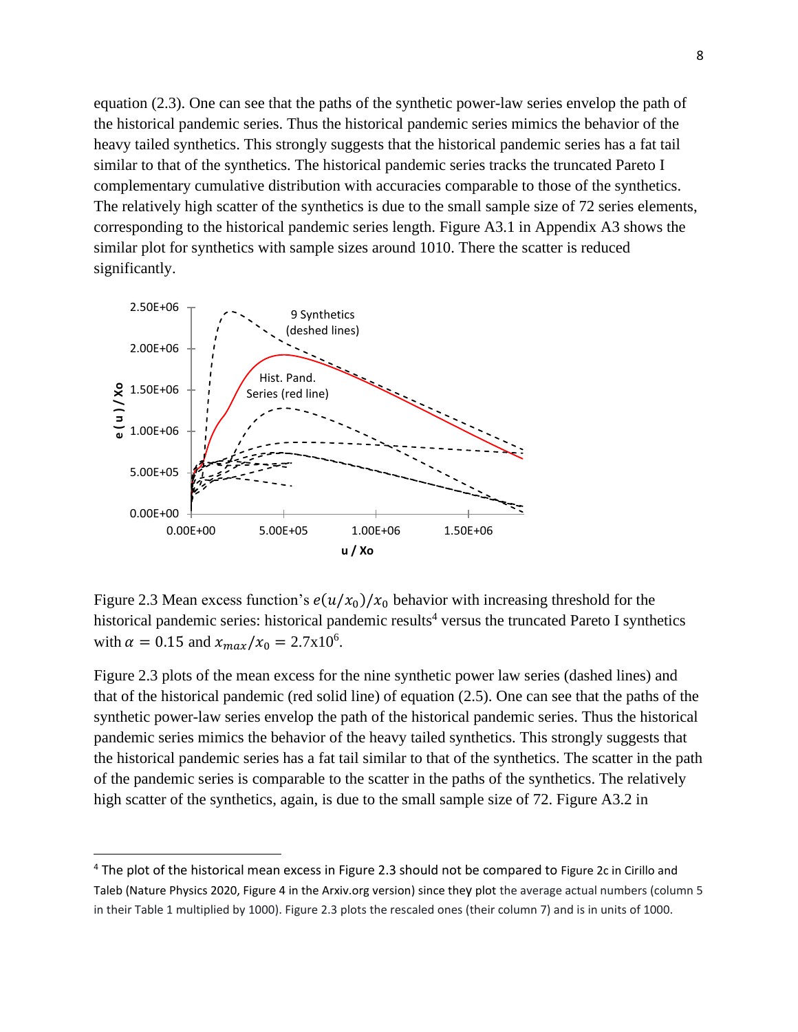equation (2.3). One can see that the paths of the synthetic power-law series envelop the path of the historical pandemic series. Thus the historical pandemic series mimics the behavior of the heavy tailed synthetics. This strongly suggests that the historical pandemic series has a fat tail similar to that of the synthetics. The historical pandemic series tracks the truncated Pareto I complementary cumulative distribution with accuracies comparable to those of the synthetics. The relatively high scatter of the synthetics is due to the small sample size of 72 series elements, corresponding to the historical pandemic series length. Figure A3.1 in Appendix A3 shows the similar plot for synthetics with sample sizes around 1010. There the scatter is reduced significantly.



Figure 2.3 Mean excess function's  $e(u/x_0)/x_0$  behavior with increasing threshold for the historical pandemic series: historical pandemic results<sup>4</sup> versus the truncated Pareto I synthetics with  $\alpha = 0.15$  and  $x_{max}/x_0 = 2.7 \times 10^6$ .

Figure 2.3 plots of the mean excess for the nine synthetic power law series (dashed lines) and that of the historical pandemic (red solid line) of equation (2.5). One can see that the paths of the synthetic power-law series envelop the path of the historical pandemic series. Thus the historical pandemic series mimics the behavior of the heavy tailed synthetics. This strongly suggests that the historical pandemic series has a fat tail similar to that of the synthetics. The scatter in the path of the pandemic series is comparable to the scatter in the paths of the synthetics. The relatively high scatter of the synthetics, again, is due to the small sample size of 72. Figure A3.2 in

<sup>&</sup>lt;sup>4</sup> The plot of the historical mean excess in Figure 2.3 should not be compared to Figure 2c in Cirillo and Taleb (Nature Physics 2020, Figure 4 in the Arxiv.org version) since they plot the average actual numbers (column 5 in their Table 1 multiplied by 1000). Figure 2.3 plots the rescaled ones (their column 7) and is in units of 1000.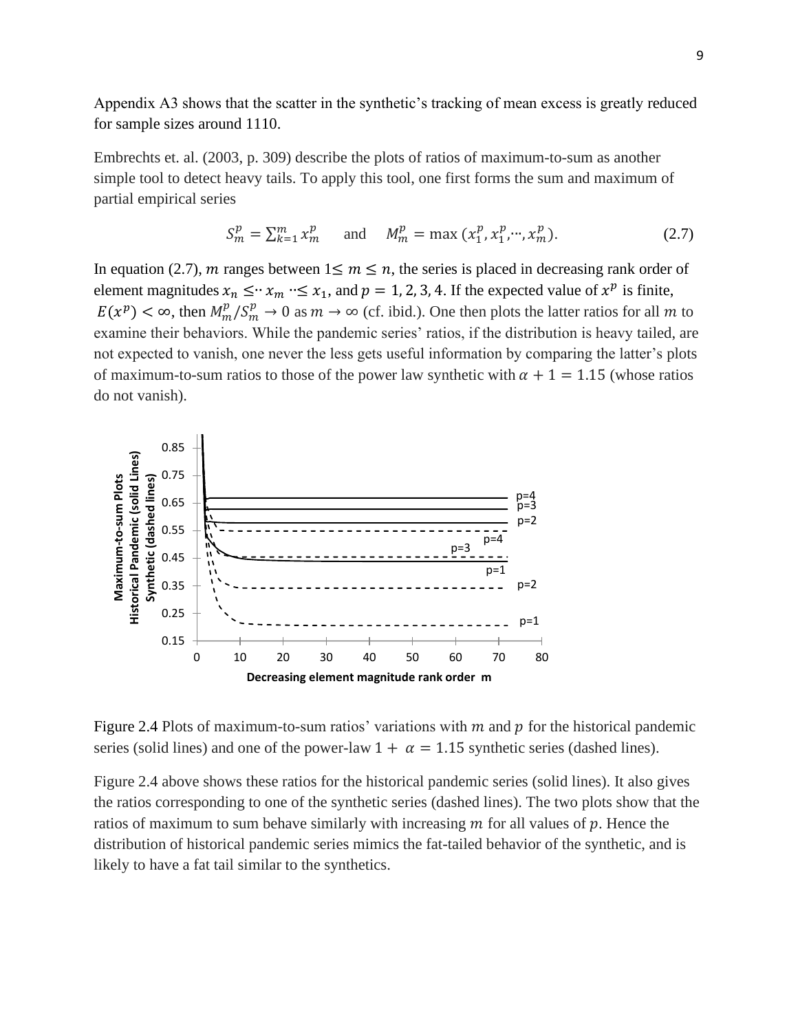Appendix A3 shows that the scatter in the synthetic's tracking of mean excess is greatly reduced for sample sizes around 1110.

Embrechts et. al. (2003, p. 309) describe the plots of ratios of maximum-to-sum as another simple tool to detect heavy tails. To apply this tool, one first forms the sum and maximum of partial empirical series

$$
S_m^p = \sum_{k=1}^m x_m^p \qquad \text{and} \qquad M_m^p = \max(x_1^p, x_1^p, \cdots, x_m^p). \tag{2.7}
$$

In equation (2.7), *m* ranges between  $1 \le m \le n$ , the series is placed in decreasing rank order of element magnitudes  $x_n \leq y \leq x_n$   $\leq x_1$ , and  $p = 1, 2, 3, 4$ . If the expected value of  $x^p$  is finite,  $E(x^p) < \infty$ , then  $M_m^p/S_m^p \to 0$  as  $m \to \infty$  (cf. ibid.). One then plots the latter ratios for all m to examine their behaviors. While the pandemic series' ratios, if the distribution is heavy tailed, are not expected to vanish, one never the less gets useful information by comparing the latter's plots of maximum-to-sum ratios to those of the power law synthetic with  $\alpha + 1 = 1.15$  (whose ratios do not vanish).



Figure 2.4 Plots of maximum-to-sum ratios' variations with  $m$  and  $p$  for the historical pandemic series (solid lines) and one of the power-law  $1 + \alpha = 1.15$  synthetic series (dashed lines).

Figure 2.4 above shows these ratios for the historical pandemic series (solid lines). It also gives the ratios corresponding to one of the synthetic series (dashed lines). The two plots show that the ratios of maximum to sum behave similarly with increasing  $m$  for all values of  $p$ . Hence the distribution of historical pandemic series mimics the fat-tailed behavior of the synthetic, and is likely to have a fat tail similar to the synthetics.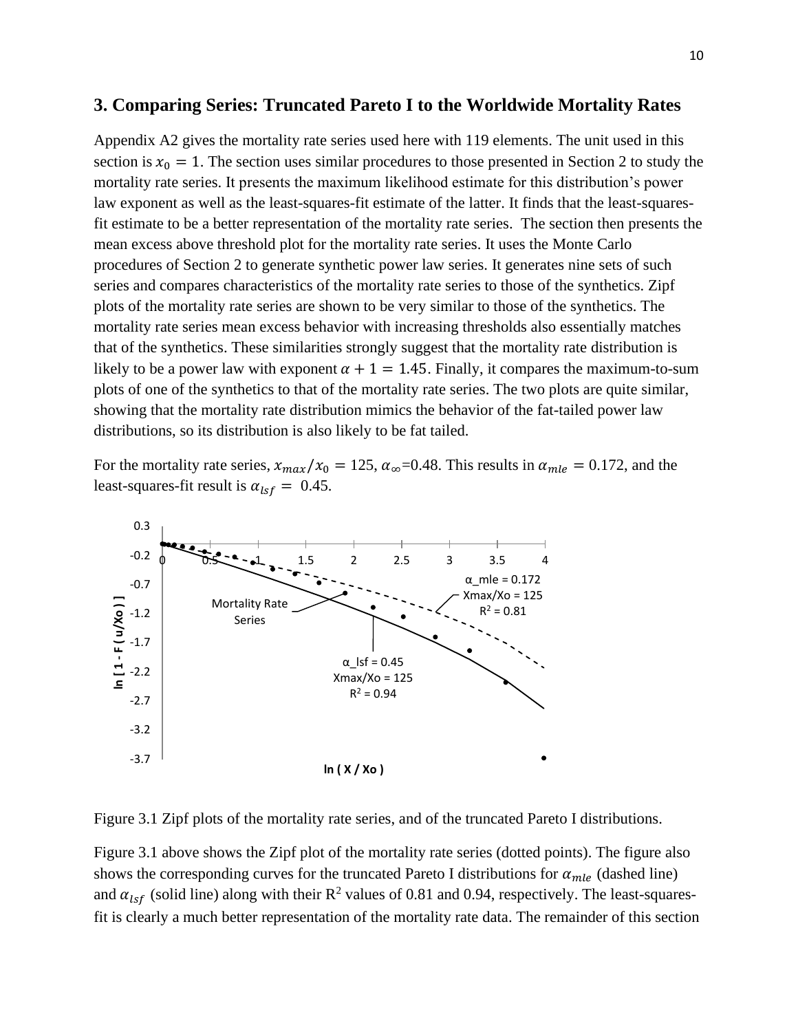#### **3. Comparing Series: Truncated Pareto I to the Worldwide Mortality Rates**

Appendix A2 gives the mortality rate series used here with 119 elements. The unit used in this section is  $x_0 = 1$ . The section uses similar procedures to those presented in Section 2 to study the mortality rate series. It presents the maximum likelihood estimate for this distribution's power law exponent as well as the least-squares-fit estimate of the latter. It finds that the least-squaresfit estimate to be a better representation of the mortality rate series. The section then presents the mean excess above threshold plot for the mortality rate series. It uses the Monte Carlo procedures of Section 2 to generate synthetic power law series. It generates nine sets of such series and compares characteristics of the mortality rate series to those of the synthetics. Zipf plots of the mortality rate series are shown to be very similar to those of the synthetics. The mortality rate series mean excess behavior with increasing thresholds also essentially matches that of the synthetics. These similarities strongly suggest that the mortality rate distribution is likely to be a power law with exponent  $\alpha + 1 = 1.45$ . Finally, it compares the maximum-to-sum plots of one of the synthetics to that of the mortality rate series. The two plots are quite similar, showing that the mortality rate distribution mimics the behavior of the fat-tailed power law distributions, so its distribution is also likely to be fat tailed.

For the mortality rate series,  $x_{max}/x_0 = 125$ ,  $\alpha_{\infty} = 0.48$ . This results in  $\alpha_{mle} = 0.172$ , and the least-squares-fit result is  $\alpha_{lsf} = 0.45$ .



Figure 3.1 Zipf plots of the mortality rate series, and of the truncated Pareto I distributions.

Figure 3.1 above shows the Zipf plot of the mortality rate series (dotted points). The figure also shows the corresponding curves for the truncated Pareto I distributions for  $\alpha_{mle}$  (dashed line) and  $\alpha_{lsf}$  (solid line) along with their  $\mathbb{R}^2$  values of 0.81 and 0.94, respectively. The least-squaresfit is clearly a much better representation of the mortality rate data. The remainder of this section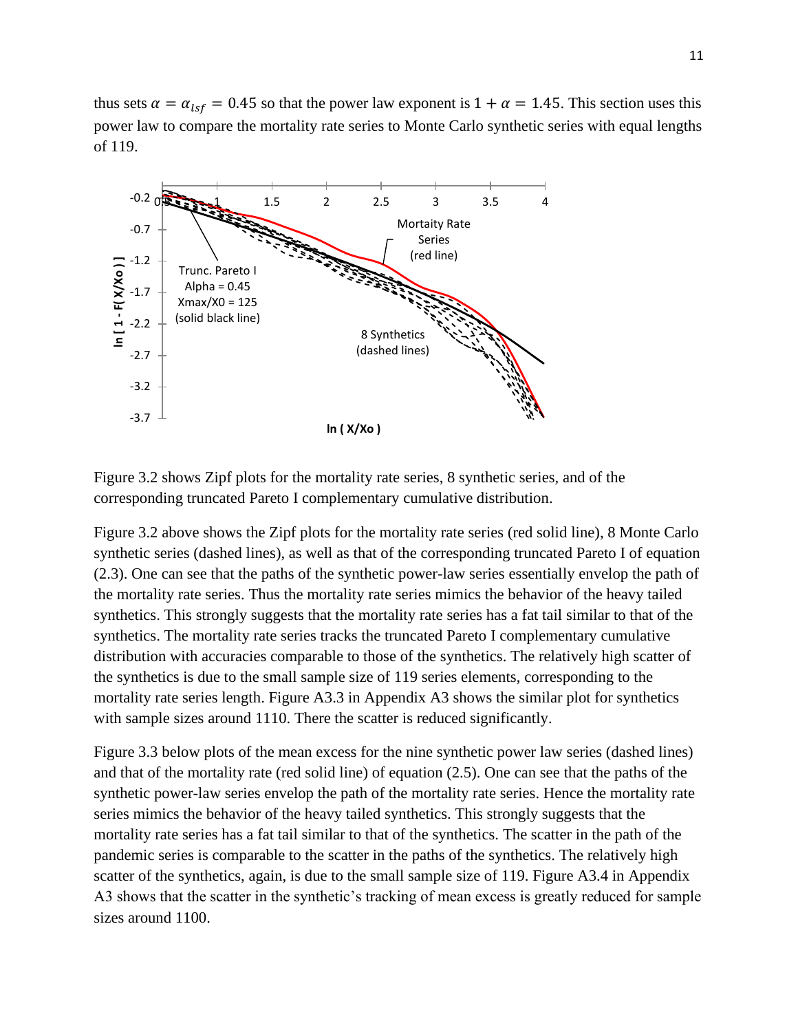thus sets  $\alpha = \alpha_{lsf} = 0.45$  so that the power law exponent is  $1 + \alpha = 1.45$ . This section uses this power law to compare the mortality rate series to Monte Carlo synthetic series with equal lengths of 119.



Figure 3.2 shows Zipf plots for the mortality rate series, 8 synthetic series, and of the corresponding truncated Pareto I complementary cumulative distribution.

Figure 3.2 above shows the Zipf plots for the mortality rate series (red solid line), 8 Monte Carlo synthetic series (dashed lines), as well as that of the corresponding truncated Pareto I of equation (2.3). One can see that the paths of the synthetic power-law series essentially envelop the path of the mortality rate series. Thus the mortality rate series mimics the behavior of the heavy tailed synthetics. This strongly suggests that the mortality rate series has a fat tail similar to that of the synthetics. The mortality rate series tracks the truncated Pareto I complementary cumulative distribution with accuracies comparable to those of the synthetics. The relatively high scatter of the synthetics is due to the small sample size of 119 series elements, corresponding to the mortality rate series length. Figure A3.3 in Appendix A3 shows the similar plot for synthetics with sample sizes around 1110. There the scatter is reduced significantly.

Figure 3.3 below plots of the mean excess for the nine synthetic power law series (dashed lines) and that of the mortality rate (red solid line) of equation (2.5). One can see that the paths of the synthetic power-law series envelop the path of the mortality rate series. Hence the mortality rate series mimics the behavior of the heavy tailed synthetics. This strongly suggests that the mortality rate series has a fat tail similar to that of the synthetics. The scatter in the path of the pandemic series is comparable to the scatter in the paths of the synthetics. The relatively high scatter of the synthetics, again, is due to the small sample size of 119. Figure A3.4 in Appendix A3 shows that the scatter in the synthetic's tracking of mean excess is greatly reduced for sample sizes around 1100.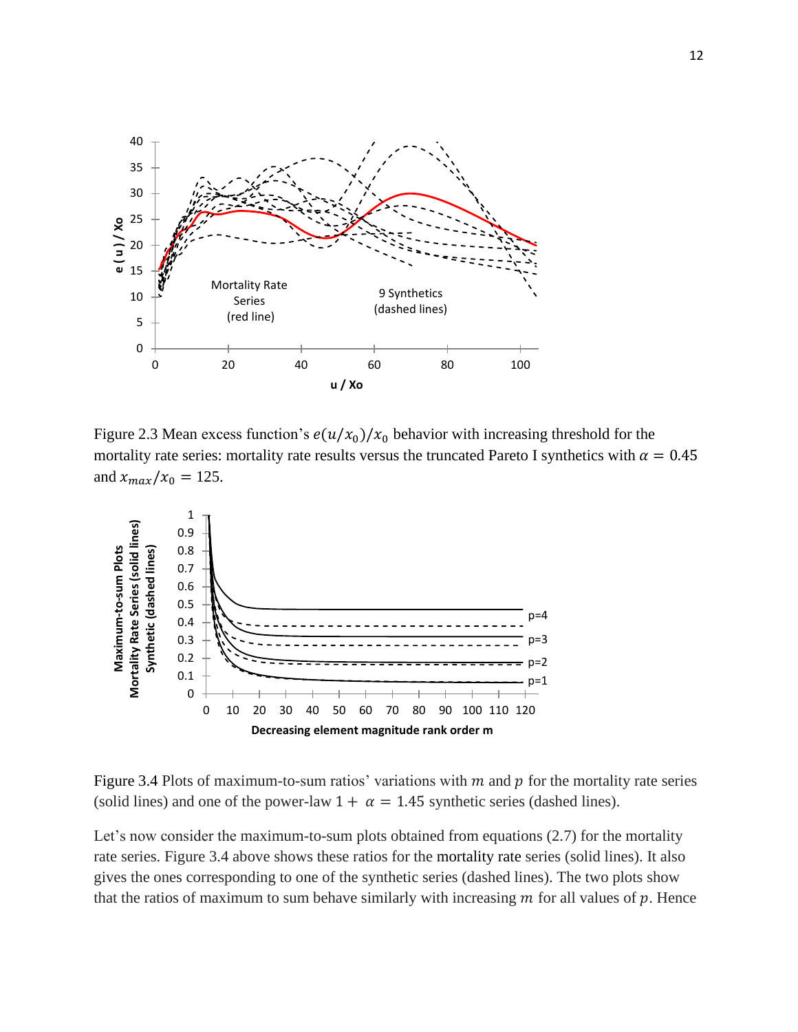

Figure 2.3 Mean excess function's  $e(u/x_0)/x_0$  behavior with increasing threshold for the mortality rate series: mortality rate results versus the truncated Pareto I synthetics with  $\alpha = 0.45$ and  $x_{max}/x_0 = 125$ .



Figure 3.4 Plots of maximum-to-sum ratios' variations with  $m$  and  $p$  for the mortality rate series (solid lines) and one of the power-law  $1 + \alpha = 1.45$  synthetic series (dashed lines).

Let's now consider the maximum-to-sum plots obtained from equations (2.7) for the mortality rate series. Figure 3.4 above shows these ratios for the mortality rate series (solid lines). It also gives the ones corresponding to one of the synthetic series (dashed lines). The two plots show that the ratios of maximum to sum behave similarly with increasing  $m$  for all values of  $p$ . Hence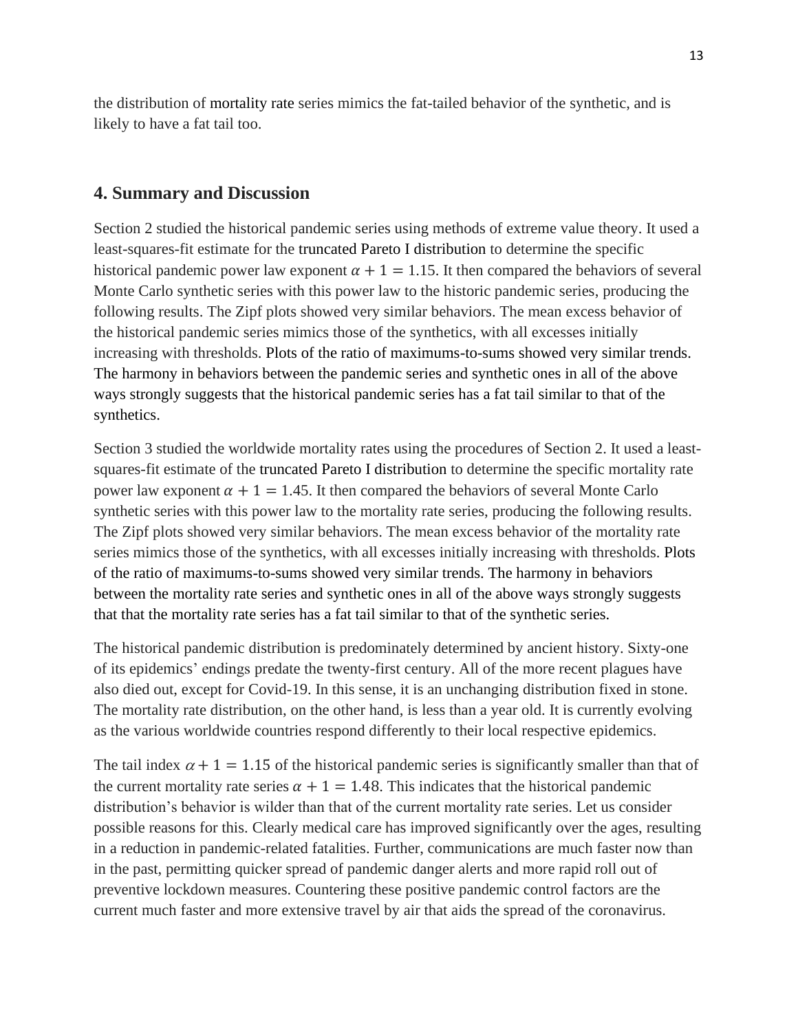the distribution of mortality rate series mimics the fat-tailed behavior of the synthetic, and is likely to have a fat tail too.

# **4. Summary and Discussion**

Section 2 studied the historical pandemic series using methods of extreme value theory. It used a least-squares-fit estimate for the truncated Pareto I distribution to determine the specific historical pandemic power law exponent  $\alpha + 1 = 1.15$ . It then compared the behaviors of several Monte Carlo synthetic series with this power law to the historic pandemic series, producing the following results. The Zipf plots showed very similar behaviors. The mean excess behavior of the historical pandemic series mimics those of the synthetics, with all excesses initially increasing with thresholds. Plots of the ratio of maximums-to-sums showed very similar trends. The harmony in behaviors between the pandemic series and synthetic ones in all of the above ways strongly suggests that the historical pandemic series has a fat tail similar to that of the synthetics.

Section 3 studied the worldwide mortality rates using the procedures of Section 2. It used a leastsquares-fit estimate of the truncated Pareto I distribution to determine the specific mortality rate power law exponent  $\alpha + 1 = 1.45$ . It then compared the behaviors of several Monte Carlo synthetic series with this power law to the mortality rate series, producing the following results. The Zipf plots showed very similar behaviors. The mean excess behavior of the mortality rate series mimics those of the synthetics, with all excesses initially increasing with thresholds. Plots of the ratio of maximums-to-sums showed very similar trends. The harmony in behaviors between the mortality rate series and synthetic ones in all of the above ways strongly suggests that that the mortality rate series has a fat tail similar to that of the synthetic series.

The historical pandemic distribution is predominately determined by ancient history. Sixty-one of its epidemics' endings predate the twenty-first century. All of the more recent plagues have also died out, except for Covid-19. In this sense, it is an unchanging distribution fixed in stone. The mortality rate distribution, on the other hand, is less than a year old. It is currently evolving as the various worldwide countries respond differently to their local respective epidemics.

The tail index  $\alpha + 1 = 1.15$  of the historical pandemic series is significantly smaller than that of the current mortality rate series  $\alpha + 1 = 1.48$ . This indicates that the historical pandemic distribution's behavior is wilder than that of the current mortality rate series. Let us consider possible reasons for this. Clearly medical care has improved significantly over the ages, resulting in a reduction in pandemic-related fatalities. Further, communications are much faster now than in the past, permitting quicker spread of pandemic danger alerts and more rapid roll out of preventive lockdown measures. Countering these positive pandemic control factors are the current much faster and more extensive travel by air that aids the spread of the coronavirus.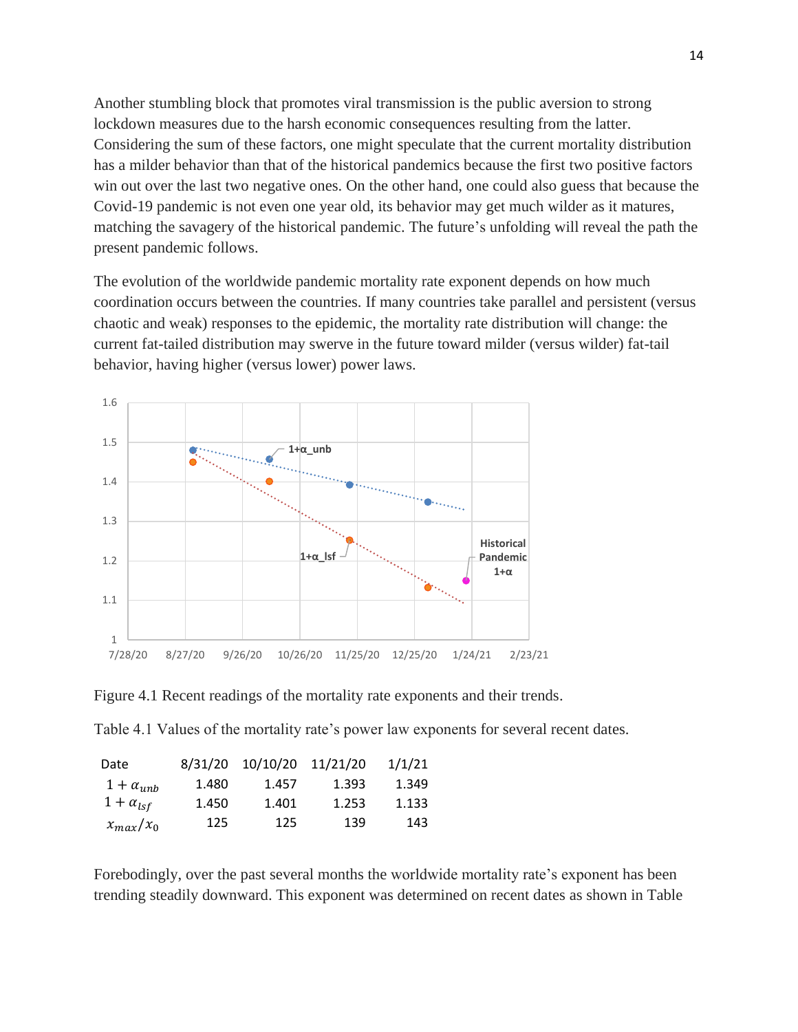Another stumbling block that promotes viral transmission is the public aversion to strong lockdown measures due to the harsh economic consequences resulting from the latter. Considering the sum of these factors, one might speculate that the current mortality distribution has a milder behavior than that of the historical pandemics because the first two positive factors win out over the last two negative ones. On the other hand, one could also guess that because the Covid-19 pandemic is not even one year old, its behavior may get much wilder as it matures, matching the savagery of the historical pandemic. The future's unfolding will reveal the path the present pandemic follows.

The evolution of the worldwide pandemic mortality rate exponent depends on how much coordination occurs between the countries. If many countries take parallel and persistent (versus chaotic and weak) responses to the epidemic, the mortality rate distribution will change: the current fat-tailed distribution may swerve in the future toward milder (versus wilder) fat-tail behavior, having higher (versus lower) power laws.



Figure 4.1 Recent readings of the mortality rate exponents and their trends.

Table 4.1 Values of the mortality rate's power law exponents for several recent dates.

| Date               | 8/31/20 | 10/10/20 | 11/21/20 | 1/1/21 |
|--------------------|---------|----------|----------|--------|
| $1 + \alpha_{unb}$ | 1.480   | 1.457    | 1.393    | 1.349  |
| $1 + \alpha_{lsf}$ | 1.450   | 1.401    | 1.253    | 1.133  |
| $x_{max}/x_0$      | 125     | 125      | 139      | 143    |

Forebodingly, over the past several months the worldwide mortality rate's exponent has been trending steadily downward. This exponent was determined on recent dates as shown in Table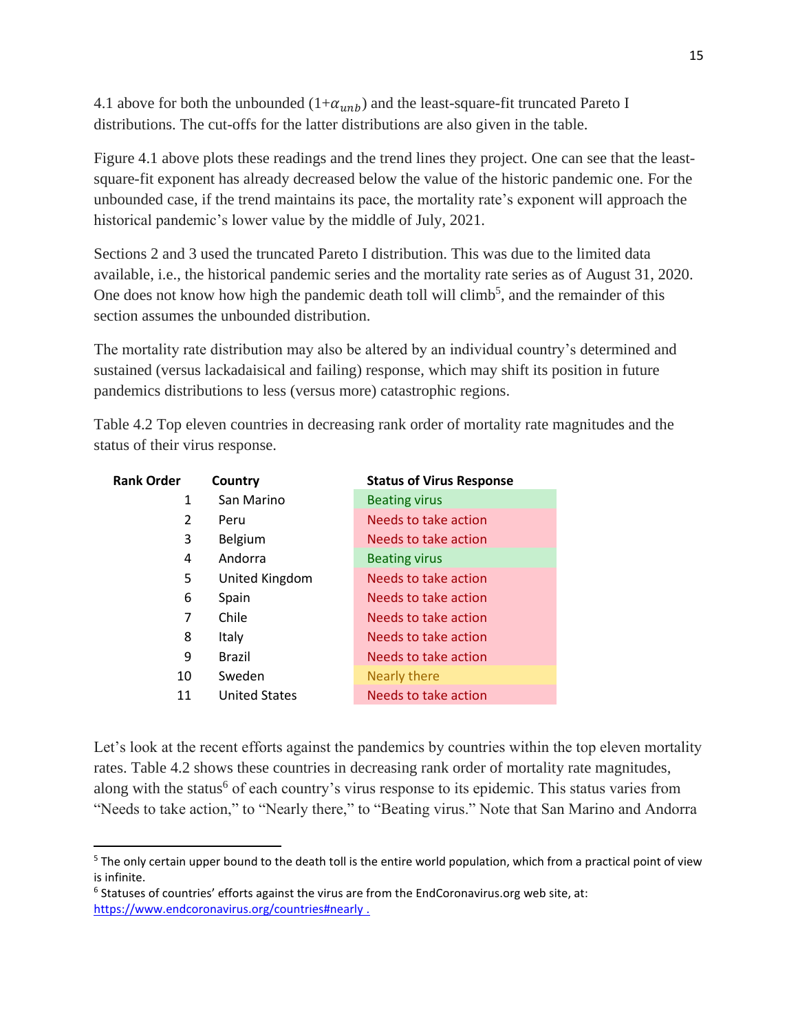4.1 above for both the unbounded  $(1+\alpha_{unb})$  and the least-square-fit truncated Pareto I distributions. The cut-offs for the latter distributions are also given in the table.

Figure 4.1 above plots these readings and the trend lines they project. One can see that the leastsquare-fit exponent has already decreased below the value of the historic pandemic one. For the unbounded case, if the trend maintains its pace, the mortality rate's exponent will approach the historical pandemic's lower value by the middle of July, 2021.

Sections 2 and 3 used the truncated Pareto I distribution. This was due to the limited data available, i.e., the historical pandemic series and the mortality rate series as of August 31, 2020. One does not know how high the pandemic death toll will climb<sup>5</sup>, and the remainder of this section assumes the unbounded distribution.

The mortality rate distribution may also be altered by an individual country's determined and sustained (versus lackadaisical and failing) response, which may shift its position in future pandemics distributions to less (versus more) catastrophic regions.

Table 4.2 Top eleven countries in decreasing rank order of mortality rate magnitudes and the status of their virus response.

| <b>Rank Order</b> | Country              | <b>Status of Virus Response</b> |
|-------------------|----------------------|---------------------------------|
| 1                 | San Marino           | <b>Beating virus</b>            |
| $\overline{2}$    | Peru                 | Needs to take action            |
| 3                 | Belgium              | Needs to take action            |
| 4                 | Andorra              | <b>Beating virus</b>            |
| 5                 | United Kingdom       | Needs to take action            |
| 6                 | Spain                | Needs to take action            |
| 7                 | Chile                | Needs to take action            |
| 8                 | Italy                | Needs to take action            |
| 9                 | <b>Brazil</b>        | Needs to take action            |
| 10                | Sweden               | Nearly there                    |
| 11                | <b>United States</b> | Needs to take action            |

Let's look at the recent efforts against the pandemics by countries within the top eleven mortality rates. Table 4.2 shows these countries in decreasing rank order of mortality rate magnitudes, along with the status<sup>6</sup> of each country's virus response to its epidemic. This status varies from "Needs to take action," to "Nearly there," to "Beating virus." Note that San Marino and Andorra

<sup>&</sup>lt;sup>5</sup> The only certain upper bound to the death toll is the entire world population, which from a practical point of view is infinite.

 $6$  Statuses of countries' efforts against the virus are from the EndCoronavirus.org web site, at: <https://www.endcoronavirus.org/countries#nearly> .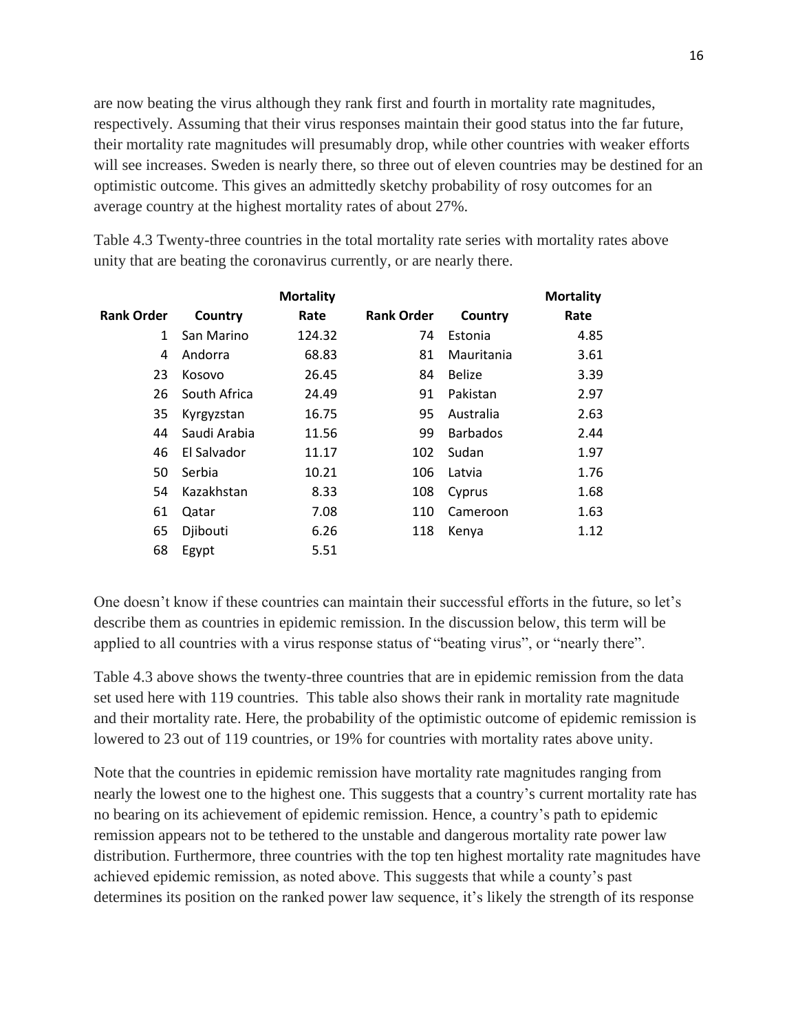are now beating the virus although they rank first and fourth in mortality rate magnitudes, respectively. Assuming that their virus responses maintain their good status into the far future, their mortality rate magnitudes will presumably drop, while other countries with weaker efforts will see increases. Sweden is nearly there, so three out of eleven countries may be destined for an optimistic outcome. This gives an admittedly sketchy probability of rosy outcomes for an average country at the highest mortality rates of about 27%.

Table 4.3 Twenty-three countries in the total mortality rate series with mortality rates above unity that are beating the coronavirus currently, or are nearly there.

|                   |              | <b>Mortality</b> |                   |                 | <b>Mortality</b> |
|-------------------|--------------|------------------|-------------------|-----------------|------------------|
| <b>Rank Order</b> | Country      | Rate             | <b>Rank Order</b> | Country         | Rate             |
| 1                 | San Marino   | 124.32           | 74                | Estonia         | 4.85             |
| 4                 | Andorra      | 68.83            | 81                | Mauritania      | 3.61             |
| 23                | Kosovo       | 26.45            | 84                | <b>Belize</b>   | 3.39             |
| 26                | South Africa | 24.49            | 91                | Pakistan        | 2.97             |
| 35                | Kyrgyzstan   | 16.75            | 95                | Australia       | 2.63             |
| 44                | Saudi Arabia | 11.56            | 99                | <b>Barbados</b> | 2.44             |
| 46                | El Salvador  | 11.17            | 102               | Sudan           | 1.97             |
| 50                | Serbia       | 10.21            | 106               | Latvia          | 1.76             |
| 54                | Kazakhstan   | 8.33             | 108               | Cyprus          | 1.68             |
| 61                | Qatar        | 7.08             | 110               | Cameroon        | 1.63             |
| 65                | Djibouti     | 6.26             | 118               | Kenya           | 1.12             |
| 68                | Egypt        | 5.51             |                   |                 |                  |

One doesn't know if these countries can maintain their successful efforts in the future, so let's describe them as countries in epidemic remission. In the discussion below, this term will be applied to all countries with a virus response status of "beating virus", or "nearly there".

Table 4.3 above shows the twenty-three countries that are in epidemic remission from the data set used here with 119 countries. This table also shows their rank in mortality rate magnitude and their mortality rate. Here, the probability of the optimistic outcome of epidemic remission is lowered to 23 out of 119 countries, or 19% for countries with mortality rates above unity.

Note that the countries in epidemic remission have mortality rate magnitudes ranging from nearly the lowest one to the highest one. This suggests that a country's current mortality rate has no bearing on its achievement of epidemic remission. Hence, a country's path to epidemic remission appears not to be tethered to the unstable and dangerous mortality rate power law distribution. Furthermore, three countries with the top ten highest mortality rate magnitudes have achieved epidemic remission, as noted above. This suggests that while a county's past determines its position on the ranked power law sequence, it's likely the strength of its response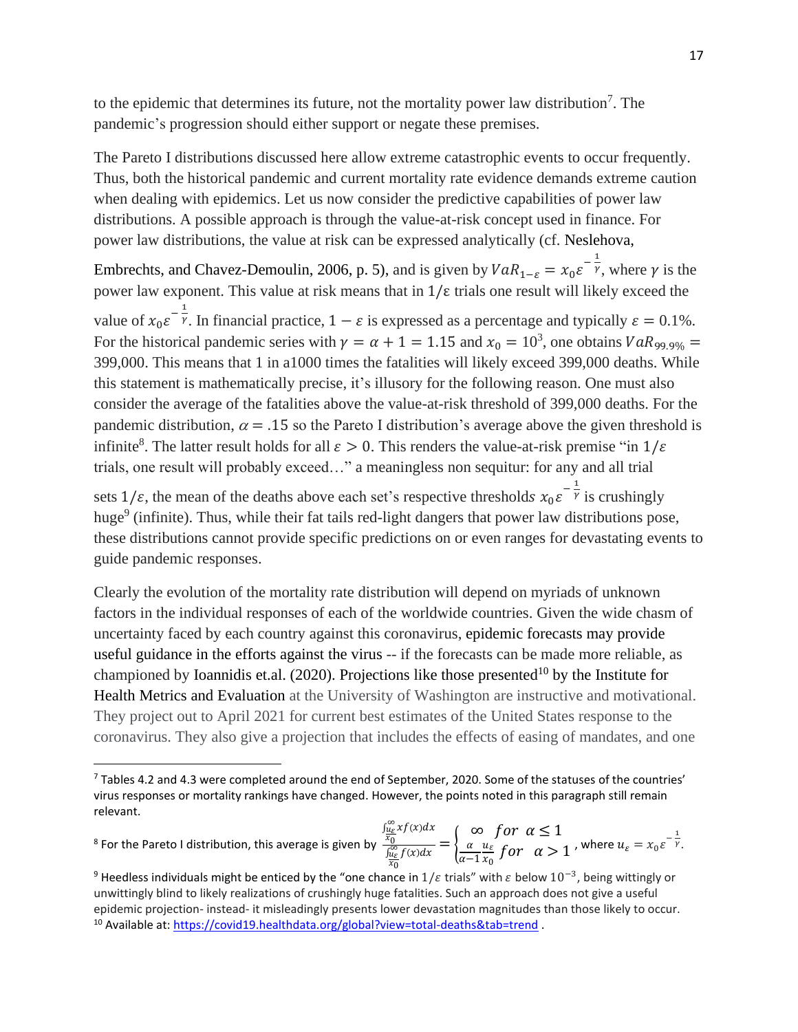to the epidemic that determines its future, not the mortality power law distribution<sup>7</sup>. The pandemic's progression should either support or negate these premises.

The Pareto I distributions discussed here allow extreme catastrophic events to occur frequently. Thus, both the historical pandemic and current mortality rate evidence demands extreme caution when dealing with epidemics. Let us now consider the predictive capabilities of power law distributions. A possible approach is through the value-at-risk concept used in finance. For power law distributions, the value at risk can be expressed analytically (cf. Neslehova,

Embrechts, and Chavez-Demoulin, 2006, p. 5), and is given by  $VaR_{1-\varepsilon} = x_0 \varepsilon^{-\frac{1}{\gamma}}$ , where  $\gamma$  is the power law exponent. This value at risk means that in  $1/\epsilon$  trials one result will likely exceed the value of  $x_0 \varepsilon^{-\frac{1}{\gamma}}$ . In financial practice,  $1 - \varepsilon$  is expressed as a percentage and typically  $\varepsilon = 0.1\%$ . For the historical pandemic series with  $\gamma = \alpha + 1 = 1.15$  and  $x_0 = 10^3$ , one obtains  $VaR_{99,9\%} =$ 399,000. This means that 1 in a1000 times the fatalities will likely exceed 399,000 deaths. While this statement is mathematically precise, it's illusory for the following reason. One must also consider the average of the fatalities above the value-at-risk threshold of 399,000 deaths. For the pandemic distribution,  $\alpha = .15$  so the Pareto I distribution's average above the given threshold is infinite<sup>8</sup>. The latter result holds for all  $\varepsilon > 0$ . This renders the value-at-risk premise "in  $1/\varepsilon$ trials, one result will probably exceed…" a meaningless non sequitur: for any and all trial

sets  $1/\varepsilon$ , the mean of the deaths above each set's respective thresholds  $x_0 \varepsilon^{-\frac{1}{\gamma}}$  is crushingly huge<sup>9</sup> (infinite). Thus, while their fat tails red-light dangers that power law distributions pose, these distributions cannot provide specific predictions on or even ranges for devastating events to guide pandemic responses.

Clearly the evolution of the mortality rate distribution will depend on myriads of unknown factors in the individual responses of each of the worldwide countries. Given the wide chasm of uncertainty faced by each country against this coronavirus, epidemic forecasts may provide useful guidance in the efforts against the virus -- if the forecasts can be made more reliable, as championed by Ioannidis et.al. (2020). Projections like those presented<sup>10</sup> by the Institute for Health Metrics and Evaluation at the University of Washington are instructive and motivational. They project out to April 2021 for current best estimates of the United States response to the coronavirus. They also give a projection that includes the effects of easing of mandates, and one

<sup>8</sup> For the Pareto I distribution, this average is given by

 $7$  Tables 4.2 and 4.3 were completed around the end of September, 2020. Some of the statuses of the countries' virus responses or mortality rankings have changed. However, the points noted in this paragraph still remain relevant.

 $\int_{\frac{u_{\varepsilon}}{x_0}}^{\infty} x$  $f(x)dx$  $\int_{\frac{u_{\mathcal{E}}}{x_0}}^{\infty} f(x) dx$  $=$  {  $\infty$  for  $\alpha \leq 1$  $\alpha$  $\alpha-1$  $u_{\varepsilon}$ *o* for  $\alpha > 1$ , where  $u_{\varepsilon} = x_0 \varepsilon^{-\frac{1}{\gamma}}$ .

<sup>&</sup>lt;sup>9</sup> Heedless individuals might be enticed by the "one chance in 1/ $\varepsilon$  trials" with  $\varepsilon$  below 10<sup>-3</sup>, being wittingly or unwittingly blind to likely realizations of crushingly huge fatalities. Such an approach does not give a useful epidemic projection- instead- it misleadingly presents lower devastation magnitudes than those likely to occur. <sup>10</sup> Available at:<https://covid19.healthdata.org/global?view=total-deaths&tab=trend> .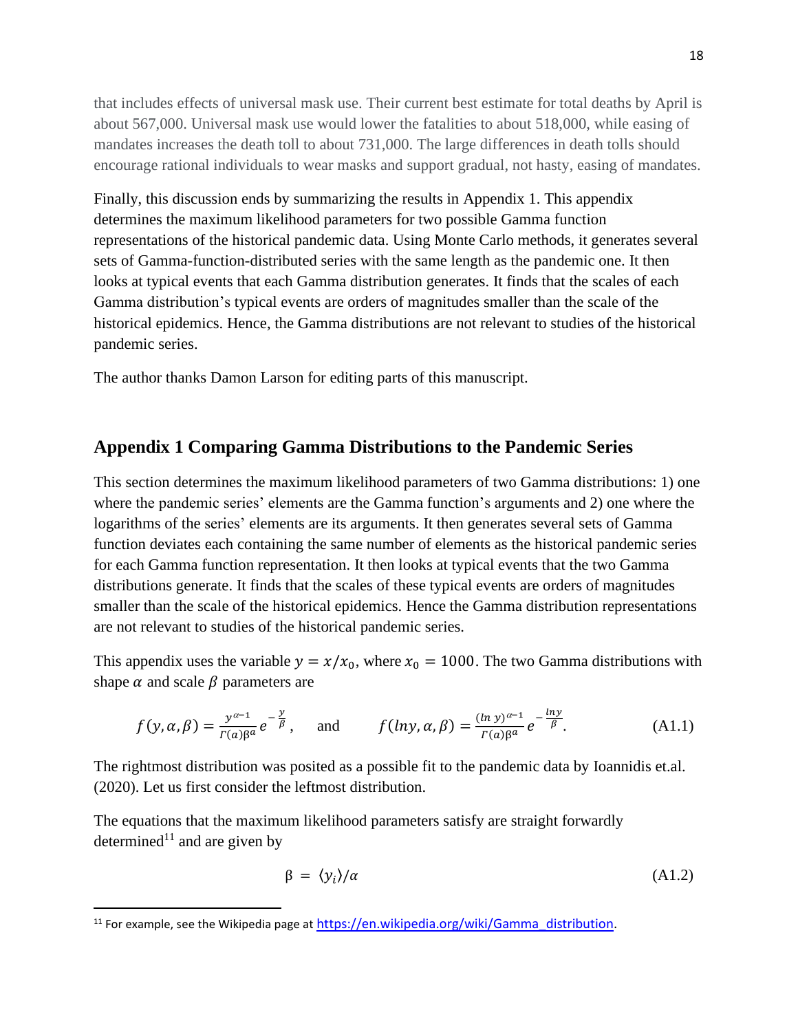that includes effects of universal mask use. Their current best estimate for total deaths by April is about 567,000. Universal mask use would lower the fatalities to about 518,000, while easing of mandates increases the death toll to about 731,000. The large differences in death tolls should encourage rational individuals to wear masks and support gradual, not hasty, easing of mandates.

Finally, this discussion ends by summarizing the results in Appendix 1. This appendix determines the maximum likelihood parameters for two possible Gamma function representations of the historical pandemic data. Using Monte Carlo methods, it generates several sets of Gamma-function-distributed series with the same length as the pandemic one. It then looks at typical events that each Gamma distribution generates. It finds that the scales of each Gamma distribution's typical events are orders of magnitudes smaller than the scale of the historical epidemics. Hence, the Gamma distributions are not relevant to studies of the historical pandemic series.

The author thanks Damon Larson for editing parts of this manuscript.

#### **Appendix 1 Comparing Gamma Distributions to the Pandemic Series**

This section determines the maximum likelihood parameters of two Gamma distributions: 1) one where the pandemic series' elements are the Gamma function's arguments and 2) one where the logarithms of the series' elements are its arguments. It then generates several sets of Gamma function deviates each containing the same number of elements as the historical pandemic series for each Gamma function representation. It then looks at typical events that the two Gamma distributions generate. It finds that the scales of these typical events are orders of magnitudes smaller than the scale of the historical epidemics. Hence the Gamma distribution representations are not relevant to studies of the historical pandemic series.

This appendix uses the variable  $y = x/x_0$ , where  $x_0 = 1000$ . The two Gamma distributions with shape  $\alpha$  and scale  $\beta$  parameters are

$$
f(y, \alpha, \beta) = \frac{y^{\alpha - 1}}{\Gamma(\alpha)\beta^{\alpha}} e^{-\frac{y}{\beta}}, \quad \text{and} \quad f(lny, \alpha, \beta) = \frac{(\ln y)^{\alpha - 1}}{\Gamma(\alpha)\beta^{\alpha}} e^{-\frac{\ln y}{\beta}}.
$$
 (A1.1)

The rightmost distribution was posited as a possible fit to the pandemic data by Ioannidis et.al. (2020). Let us first consider the leftmost distribution.

The equations that the maximum likelihood parameters satisfy are straight forwardly determined<sup>11</sup> and are given by

$$
\beta = \langle y_i \rangle / \alpha \tag{A1.2}
$$

 $11$  For example, see the Wikipedia page at [https://en.wikipedia.org/wiki/Gamma\\_distribution.](https://en.wikipedia.org/wiki/Gamma_distribution)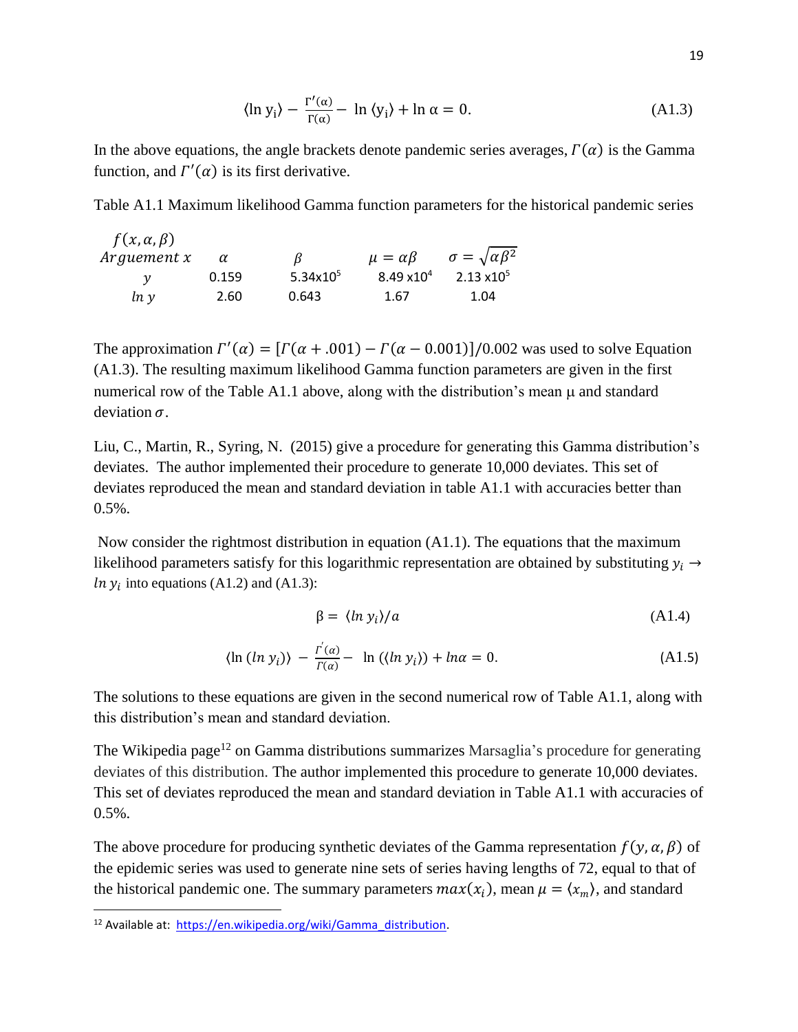$$
\langle \ln y_i \rangle - \frac{\Gamma'(\alpha)}{\Gamma(\alpha)} - \ln \langle y_i \rangle + \ln \alpha = 0. \tag{A1.3}
$$

In the above equations, the angle brackets denote pandemic series averages,  $\Gamma(\alpha)$  is the Gamma function, and  $\Gamma'(\alpha)$  is its first derivative.

Table A1.1 Maximum likelihood Gamma function parameters for the historical pandemic series

| $f(x, \alpha, \beta)$ |          |              |                      |                                  |
|-----------------------|----------|--------------|----------------------|----------------------------------|
| Arguement x           | $\alpha$ | B            | $\mu = \alpha \beta$ | $\sigma = \sqrt{\alpha \beta^2}$ |
|                       | 0.159    | 5.34 $x10^5$ | $8.49 \times 10^{4}$ | $2.13 \times 10^{5}$             |
| ln v                  | 2.60     | 0.643        | 1.67                 | 1.04                             |

The approximation  $\Gamma'(\alpha) = [\Gamma(\alpha + .001) - \Gamma(\alpha - .0001)]/0.002$  was used to solve Equation (A1.3). The resulting maximum likelihood Gamma function parameters are given in the first numerical row of the Table A1.1 above, along with the distribution's mean  $\mu$  and standard deviation  $\sigma$ .

Liu, C., Martin, R., Syring, N. (2015) give a procedure for generating this Gamma distribution's deviates. The author implemented their procedure to generate 10,000 deviates. This set of deviates reproduced the mean and standard deviation in table A1.1 with accuracies better than  $0.5\%$ .

Now consider the rightmost distribution in equation (A1.1). The equations that the maximum likelihood parameters satisfy for this logarithmic representation are obtained by substituting  $y_i \rightarrow$ *ln*  $y_i$  into equations (A1.2) and (A1.3):

$$
\beta = \langle \ln y_i \rangle / a \tag{A1.4}
$$

$$
\langle \ln (ln y_i) \rangle - \frac{r'(a)}{r(a)} - \ln (\langle ln y_i \rangle) + ln \alpha = 0. \tag{A1.5}
$$

The solutions to these equations are given in the second numerical row of Table A1.1, along with this distribution's mean and standard deviation.

The Wikipedia page<sup>12</sup> on Gamma distributions summarizes Marsaglia's procedure for generating deviates of this distribution. The author implemented this procedure to generate 10,000 deviates. This set of deviates reproduced the mean and standard deviation in Table A1.1 with accuracies of  $0.5%$ 

The above procedure for producing synthetic deviates of the Gamma representation  $f(y, \alpha, \beta)$  of the epidemic series was used to generate nine sets of series having lengths of 72, equal to that of the historical pandemic one. The summary parameters  $max(x_i)$ , mean  $\mu = \langle x_m \rangle$ , and standard

<sup>12</sup> Available at: [https://en.wikipedia.org/wiki/Gamma\\_distribution.](https://en.wikipedia.org/wiki/Gamma_distribution)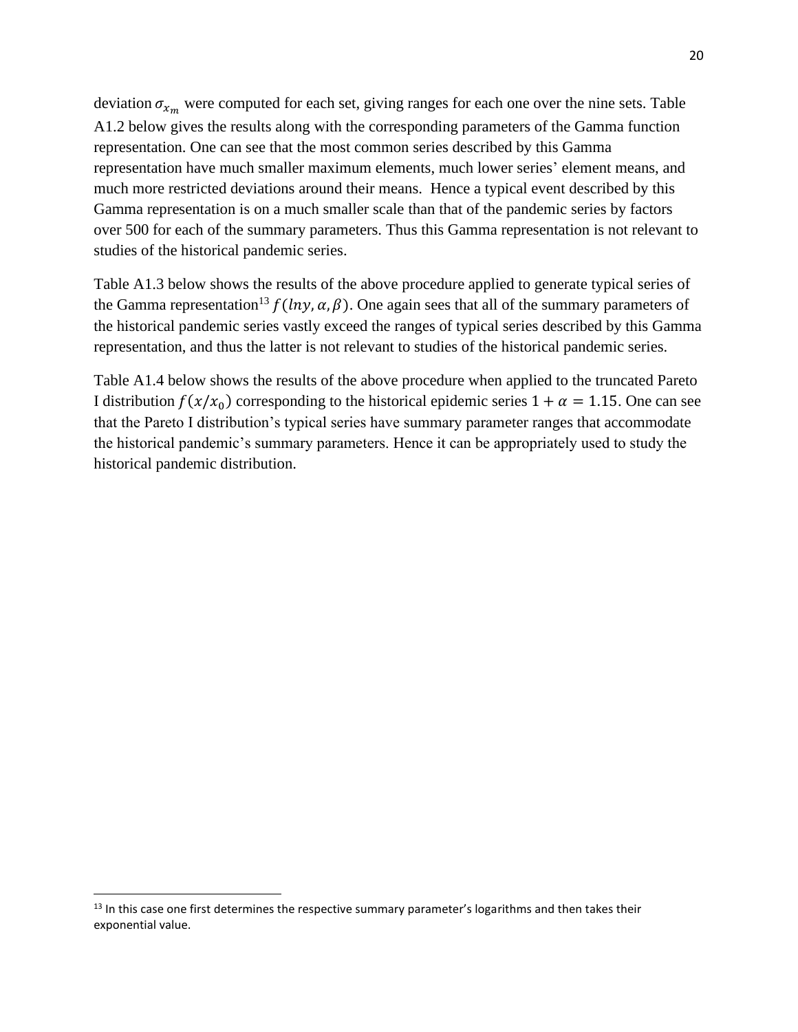deviation  $\sigma_{x_m}$  were computed for each set, giving ranges for each one over the nine sets. Table A1.2 below gives the results along with the corresponding parameters of the Gamma function representation. One can see that the most common series described by this Gamma representation have much smaller maximum elements, much lower series' element means, and much more restricted deviations around their means. Hence a typical event described by this Gamma representation is on a much smaller scale than that of the pandemic series by factors over 500 for each of the summary parameters. Thus this Gamma representation is not relevant to studies of the historical pandemic series.

Table A1.3 below shows the results of the above procedure applied to generate typical series of the Gamma representation<sup>13</sup>  $f(lny, \alpha, \beta)$ . One again sees that all of the summary parameters of the historical pandemic series vastly exceed the ranges of typical series described by this Gamma representation, and thus the latter is not relevant to studies of the historical pandemic series.

Table A1.4 below shows the results of the above procedure when applied to the truncated Pareto I distribution  $f(x/x_0)$  corresponding to the historical epidemic series  $1 + \alpha = 1.15$ . One can see that the Pareto I distribution's typical series have summary parameter ranges that accommodate the historical pandemic's summary parameters. Hence it can be appropriately used to study the historical pandemic distribution.

<sup>&</sup>lt;sup>13</sup> In this case one first determines the respective summary parameter's logarithms and then takes their exponential value.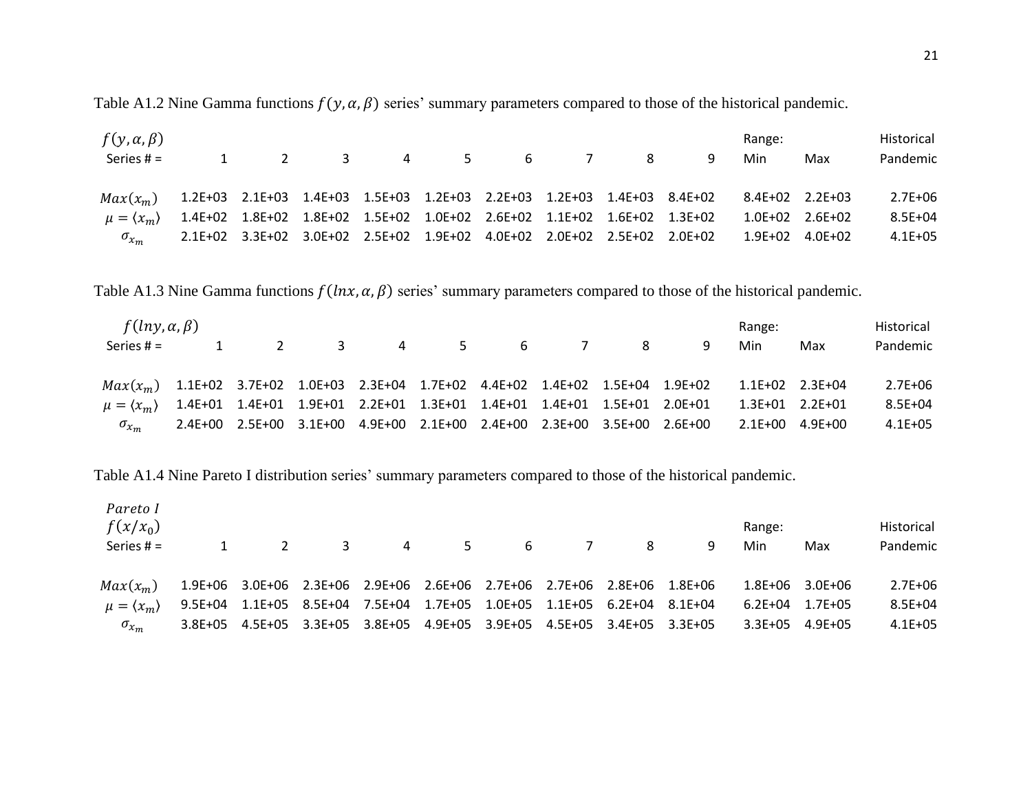Table A1.2 Nine Gamma functions  $f(y, \alpha, \beta)$  series' summary parameters compared to those of the historical pandemic.

| $f(y, \alpha, \beta)$<br>Series $# =$                                                               |  | 1 2 3 4 5 6 7 8                                                         |  |  | -9 | Range:<br>Min   | Max | Historical<br>Pandemic |
|-----------------------------------------------------------------------------------------------------|--|-------------------------------------------------------------------------|--|--|----|-----------------|-----|------------------------|
| $Max(x_m)$ 1.2E+03 2.1E+03 1.4E+03 1.5E+03 1.2E+03 2.2E+03 1.2E+03 1.4E+03 8.4E+02                  |  |                                                                         |  |  |    | 8.4E+02 2.2E+03 |     | $2.7E + 06$            |
| $\mu = \langle x_m \rangle$ 1.4E+02 1.8E+02 1.8E+02 1.5E+02 1.0E+02 2.6E+02 1.1E+02 1.6E+02 1.3E+02 |  |                                                                         |  |  |    |                 |     | $8.5E + 04$            |
| $\sigma_{x_m}$                                                                                      |  | 2.1E+02 3.3E+02 3.0E+02 2.5E+02 1.9E+02 4.0E+02 2.0E+02 2.5E+02 2.0E+02 |  |  |    |                 |     | $4.1E + 05$            |

Table A1.3 Nine Gamma functions  $f(\ln x, \alpha, \beta)$  series' summary parameters compared to those of the historical pandemic.

| $f(lny, \alpha, \beta)$                                                                             |  |                                                                         |  |  |    | Range:           |     | Historical  |
|-----------------------------------------------------------------------------------------------------|--|-------------------------------------------------------------------------|--|--|----|------------------|-----|-------------|
| Series $# =$                                                                                        |  | 2 3 4 5 6 7 8                                                           |  |  | -9 | Min              | Max | Pandemic    |
|                                                                                                     |  |                                                                         |  |  |    |                  |     |             |
| $Max(x_m)$ 1.1E+02 3.7E+02 1.0E+03 2.3E+04 1.7E+02 4.4E+02 1.4E+02 1.5E+04 1.9E+02                  |  |                                                                         |  |  |    | 1.1E+02  2.3E+04 |     | $2.7E + 06$ |
| $\mu = \langle x_m \rangle$ 1.4E+01 1.4E+01 1.9E+01 2.2E+01 1.3E+01 1.4E+01 1.4E+01 1.5E+01 2.0E+01 |  |                                                                         |  |  |    | 1.3E+01  2.2E+01 |     | $8.5E + 04$ |
| $\sigma_{x_m}$                                                                                      |  | 2.4E+00 2.5E+00 3.1E+00 4.9E+00 2.1E+00 2.4E+00 2.3E+00 3.5E+00 2.6E+00 |  |  |    |                  |     | $4.1E + 05$ |

Table A1.4 Nine Pareto I distribution series' summary parameters compared to those of the historical pandemic.

| Pareto I<br>$f(x/x_0)$<br>Series $# =$ |                                                                         | $\overline{2}$ | $3 \sim$                                                                | 4 5 6 7 |  | 8 | 9 | Range:<br>Min | Max             | Historical<br>Pandemic |
|----------------------------------------|-------------------------------------------------------------------------|----------------|-------------------------------------------------------------------------|---------|--|---|---|---------------|-----------------|------------------------|
| $Max(x_m)$                             | 1.9E+06 3.0E+06 2.3E+06 2.9E+06 2.6E+06 2.7E+06 2.7E+06 2.8E+06 1.8E+06 |                |                                                                         |         |  |   |   |               | 1.8E+06 3.0E+06 | $2.7E + 06$            |
| $\mu = \langle x_m \rangle$            |                                                                         |                | 9.5E+04 1.1E+05 8.5E+04 7.5E+04 1.7E+05 1.0E+05 1.1E+05 6.2E+04 8.1E+04 |         |  |   |   | 6.2E+04       | 1.7E+05         | 8.5E+04                |
| $\sigma_{x_m}$                         |                                                                         |                | 3.8E+05 4.5E+05 3.3E+05 3.8E+05 4.9E+05 3.9E+05 4.5E+05 3.4E+05 3.3E+05 |         |  |   |   | 3.3E+05       | 4.9E+05         | $4.1E + 05$            |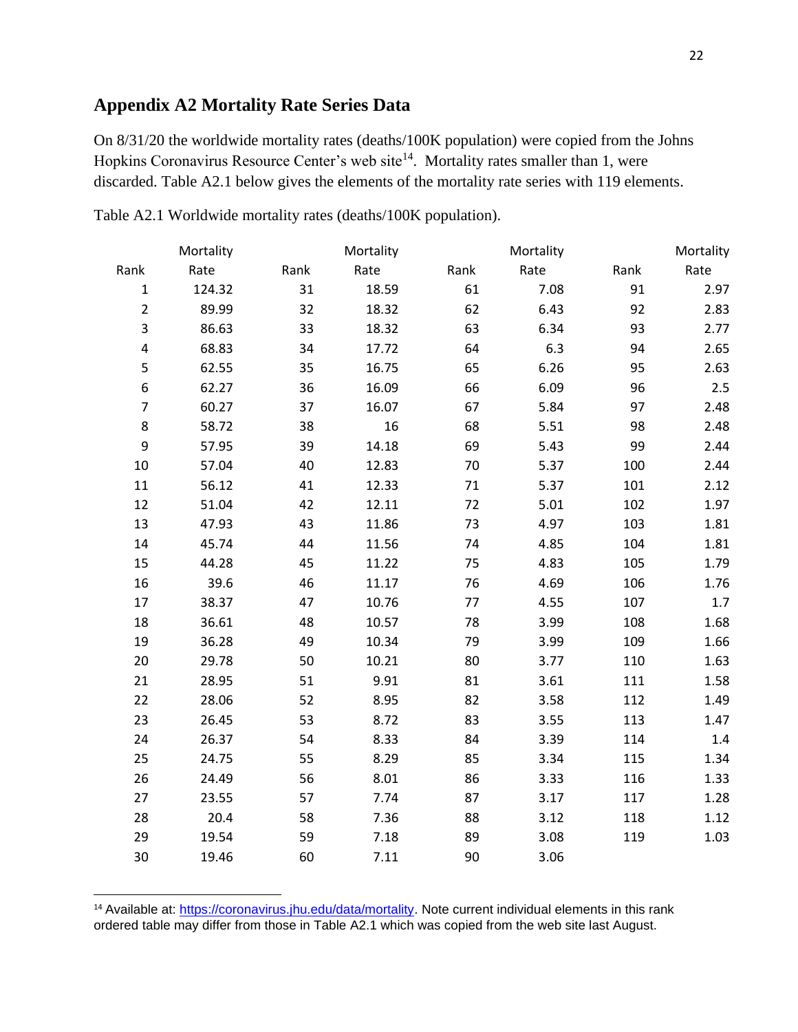# **Appendix A2 Mortality Rate Series Data**

On 8/31/20 the worldwide mortality rates (deaths/100K population) were copied from the Johns Hopkins Coronavirus Resource Center's web site<sup>14</sup>. Mortality rates smaller than 1, were discarded. Table A2.1 below gives the elements of the mortality rate series with 119 elements.

|                | Mortality |      | Mortality |        | Mortality |      |         |
|----------------|-----------|------|-----------|--------|-----------|------|---------|
| Rank           | Rate      | Rank | Rate      | Rank   | Rate      | Rank | Rate    |
| $\mathbf 1$    | 124.32    | 31   | 18.59     | 61     | 7.08      | 91   | 2.97    |
| $\overline{2}$ | 89.99     | 32   | 18.32     | 62     | 6.43      | 92   | 2.83    |
| 3              | 86.63     | 33   | 18.32     | 63     | 6.34      | 93   | 2.77    |
| 4              | 68.83     | 34   | 17.72     | 64     | 6.3       | 94   | 2.65    |
| 5              | 62.55     | 35   | 16.75     | 65     | 6.26      | 95   | 2.63    |
| 6              | 62.27     | 36   | 16.09     | 66     | 6.09      | 96   | $2.5\,$ |
| $\overline{7}$ | 60.27     | 37   | 16.07     | 67     | 5.84      | 97   | 2.48    |
| 8              | 58.72     | 38   | 16        | 68     | 5.51      | 98   | 2.48    |
| 9              | 57.95     | 39   | 14.18     | 69     | 5.43      | 99   | 2.44    |
| 10             | 57.04     | 40   | 12.83     | 70     | 5.37      | 100  | 2.44    |
| $11\,$         | 56.12     | 41   | 12.33     | $71\,$ | 5.37      | 101  | 2.12    |
| 12             | 51.04     | 42   | 12.11     | 72     | 5.01      | 102  | 1.97    |
| 13             | 47.93     | 43   | 11.86     | 73     | 4.97      | 103  | 1.81    |
| 14             | 45.74     | 44   | 11.56     | 74     | 4.85      | 104  | 1.81    |
| 15             | 44.28     | 45   | 11.22     | 75     | 4.83      | 105  | 1.79    |
| 16             | 39.6      | 46   | 11.17     | 76     | 4.69      | 106  | 1.76    |
| 17             | 38.37     | 47   | 10.76     | 77     | 4.55      | 107  | 1.7     |
| 18             | 36.61     | 48   | 10.57     | 78     | 3.99      | 108  | 1.68    |
| 19             | 36.28     | 49   | 10.34     | 79     | 3.99      | 109  | 1.66    |
| 20             | 29.78     | 50   | 10.21     | 80     | 3.77      | 110  | 1.63    |
| 21             | 28.95     | 51   | 9.91      | 81     | 3.61      | 111  | 1.58    |
| 22             | 28.06     | 52   | 8.95      | 82     | 3.58      | 112  | 1.49    |
| 23             | 26.45     | 53   | 8.72      | 83     | 3.55      | 113  | 1.47    |
| 24             | 26.37     | 54   | 8.33      | 84     | 3.39      | 114  | 1.4     |
| 25             | 24.75     | 55   | 8.29      | 85     | 3.34      | 115  | 1.34    |
| 26             | 24.49     | 56   | 8.01      | 86     | 3.33      | 116  | 1.33    |
| 27             | 23.55     | 57   | 7.74      | 87     | 3.17      | 117  | 1.28    |
| 28             | 20.4      | 58   | 7.36      | 88     | 3.12      | 118  | 1.12    |
| 29             | 19.54     | 59   | 7.18      | 89     | 3.08      | 119  | 1.03    |
| 30             | 19.46     | 60   | 7.11      | 90     | 3.06      |      |         |

Table A2.1 Worldwide mortality rates (deaths/100K population).

<sup>&</sup>lt;sup>14</sup> Available at: [https://coronavirus.jhu.edu/data/mortality.](https://coronavirus.jhu.edu/data/mortality) Note current individual elements in this rank ordered table may differ from those in Table A2.1 which was copied from the web site last August.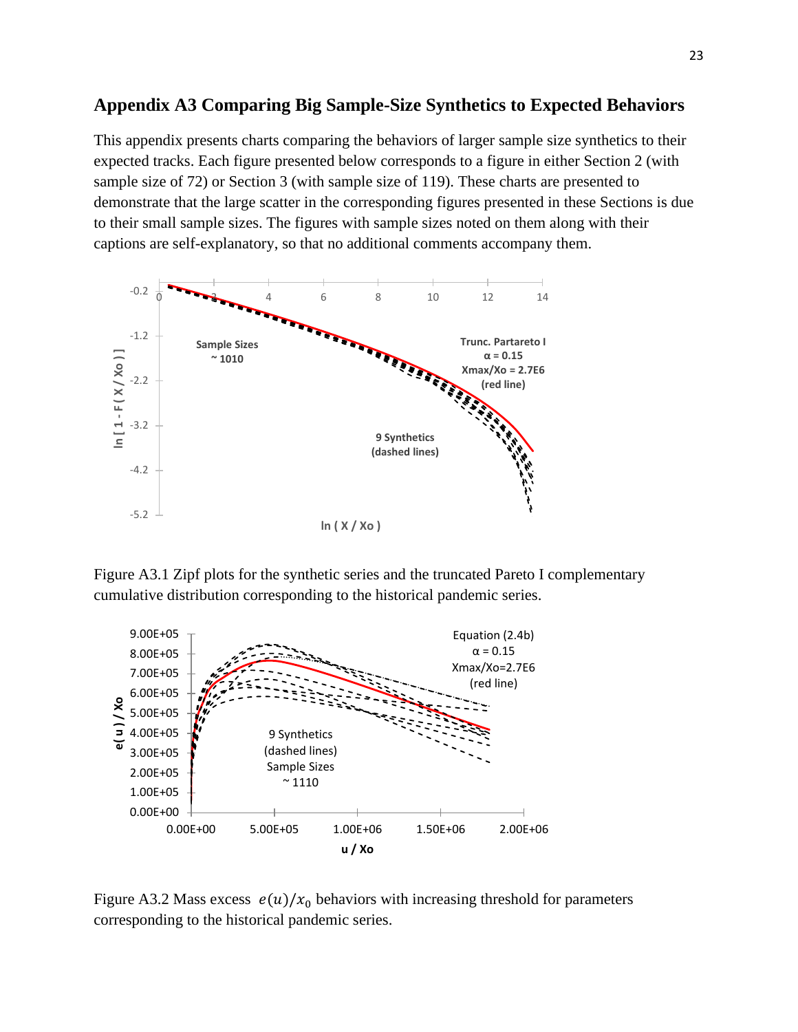# **Appendix A3 Comparing Big Sample-Size Synthetics to Expected Behaviors**

This appendix presents charts comparing the behaviors of larger sample size synthetics to their expected tracks. Each figure presented below corresponds to a figure in either Section 2 (with sample size of 72) or Section 3 (with sample size of 119). These charts are presented to demonstrate that the large scatter in the corresponding figures presented in these Sections is due to their small sample sizes. The figures with sample sizes noted on them along with their captions are self-explanatory, so that no additional comments accompany them.



Figure A3.1 Zipf plots for the synthetic series and the truncated Pareto I complementary cumulative distribution corresponding to the historical pandemic series.



Figure A3.2 Mass excess  $e(u)/x_0$  behaviors with increasing threshold for parameters corresponding to the historical pandemic series.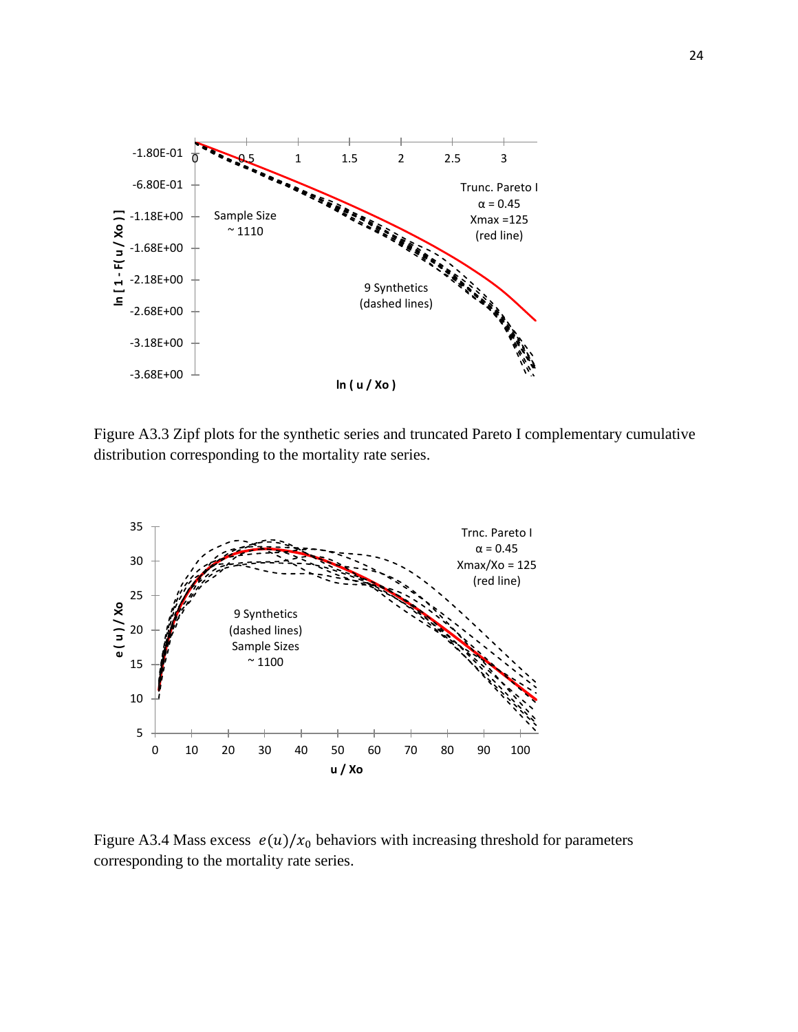

Figure A3.3 Zipf plots for the synthetic series and truncated Pareto I complementary cumulative distribution corresponding to the mortality rate series.



Figure A3.4 Mass excess  $e(u)/x_0$  behaviors with increasing threshold for parameters corresponding to the mortality rate series.